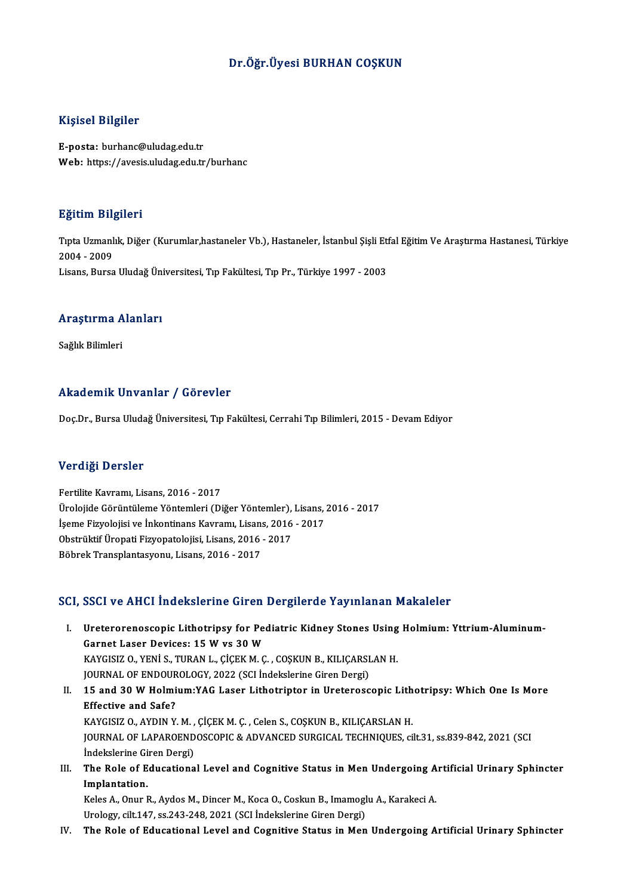#### Dr.Öğr.Üyesi BURHAN COŞKUN

#### Kişisel Bilgiler

E-posta: burhanc@uludag.edu.tr Web: https://avesis.uludag.edu.tr/burhanc

#### Eğitim Bilgileri

**Eğitim Bilgileri**<br>Tıpta Uzmanlık, Diğer (Kurumlar,hastaneler Vb.), Hastaneler, İstanbul Şişli Etfal Eğitim Ve Araştırma Hastanesi, Türkiye<br>2004 - 2009 2322111 214<br>Tipta Uzmanl<br>2004 - 2009<br>Lisans, Bursa 2004 - 2009<br>Lisans, Bursa Uludağ Üniversitesi, Tıp Fakültesi, Tıp Pr., Türkiye 1997 - 2003

# Lısans, bursa oludag onl<br>Araştırma Alanları <mark>Araştırma A</mark><br>Sağlık Bilimleri

# Akademik Unvanlar / Görevler

Doç.Dr., Bursa Uludağ Üniversitesi, Tıp Fakültesi, Cerrahi Tıp Bilimleri, 2015 - Devam Ediyor

#### Verdiği Dersler

Fertilite Kavramı, Lisans, 2016 - 2017 v or drei<br>Fertilite Kavramı, Lisans, 2016 - 2017<br>Ürolojide Görüntüleme Yöntemleri (Diğer Yöntemler), Lisans, 2016 - 2017<br>İsama Firuslajisi ve İnkantinans Kayramı, Lisans, 2016 - 2017 Fertilite Kavramı, Lisans, 2016 - 2017<br>Ürolojide Görüntüleme Yöntemleri (Diğer Yöntemler), Lisans, İşeme Fizyolojisi ve İnkontinans Kavramı, Lisans, 2016 - 2017<br>Obstrültif Ürensti Eiryonatalejisi, Lisans, 2016 - 2017 Ürolojide Görüntüleme Yöntemleri (Diğer Yöntemler),<br>İşeme Fizyolojisi ve İnkontinans Kavramı, Lisans, 2016<br>Obstrüktif Üropati Fizyopatolojisi, Lisans, 2016 - 2017<br>Böhnek Transplantasyonu, Lisans, 2016 - 2017 İşeme Fizyolojisi ve İnkontinans Kavramı, Lisans, 2016 - 2017<br>Obstrüktif Üropati Fizyopatolojisi, Lisans, 2016 - 2017<br>Böbrek Transplantasyonu, Lisans, 2016 - 2017

#### SCI, SSCI ve AHCI İndekslerine Giren Dergilerde Yayınlanan Makaleler

- CI, SSCI ve AHCI İndekslerine Giren Dergilerde Yayınlanan Makaleler<br>I. Ureterorenoscopic Lithotripsy for Pediatric Kidney Stones Using Holmium: Yttrium-Aluminum-<br>Carnet Laser Davises: 15 W vs 30 W Geen version inconsidently an ex-<br>Ureterorenoscopic Lithotripsy for Pea<br>Garnet Laser Devices: 15 W vs 30 W<br>VAVCISIZ O. VENI S. TUPAN L. CICEV M.C Ureterorenoscopic Lithotripsy for Pediatric Kidney Stones Using<br>Garnet Laser Devices: 15 W vs 30 W<br>KAYGISIZ O., YENİ S., TURAN L., ÇİÇEK M. Ç. , COŞKUN B., KILIÇARSLAN H.<br>JOUPMAL OE ENDOUPOLOCY, 2022 (SCLİndekslerine Giren Garnet Laser Devices: 15 W vs 30 W<br>KAYGISIZ 0., YENİ S., TURAN L., ÇİÇEK M. Ç. , COŞKUN B., KILIÇARSLAN H.<br>JOURNAL OF ENDOUROLOGY, 2022 (SCI İndekslerine Giren Dergi) KAYGISIZ 0., YENİ S., TURAN L., ÇİÇEK M. Ç. , COŞKUN B., KILIÇARSLAN H.<br>JOURNAL OF ENDOUROLOGY, 2022 (SCI İndekslerine Giren Dergi)<br>II. 15 and 30 W Holmium:YAG Laser Lithotriptor in Ureteroscopic Lithotripsy: Which One Is
- JOURNAL OF ENDOUR<br>15 and 30 W Holmi<br>Effective and Safe?<br>KAVCISIZ O AVDIN V 15 and 30 W Holmium:YAG Laser Lithotriptor in Ureteroscopic Lith<br>Effective and Safe?<br>KAYGISIZ O., AYDIN Y. M. , ÇİÇEK M. Ç. , Celen S., COŞKUN B., KILIÇARSLAN H.<br>JOUPMAL OE LABAROENDOSCOPIC & ADVANCED SURCICAL TECHNIQUES. Effective and Safe?<br>KAYGISIZ O., AYDIN Y. M. , ÇİÇEK M. Ç. , Celen S., COŞKUN B., KILIÇARSLAN H.<br>JOURNAL OF LAPAROENDOSCOPIC & ADVANCED SURGICAL TECHNIQUES, cilt.31, ss.839-842, 2021 (SCI KAYGISIZ O., AYDIN Y. M. ,<br>JOURNAL OF LAPAROEND<br>İndekslerine Giren Dergi)<br>The Bala of Educationa JOURNAL OF LAPAROENDOSCOPIC & ADVANCED SURGICAL TECHNIQUES, cilt.31, ss.839-842, 2021 (SCI<br>Indekslerine Giren Dergi)<br>III. The Role of Educational Level and Cognitive Status in Men Undergoing Artificial Urinary Sphincter<br>Im
- Indekslerine Gi<br>The Role of E<br>Implantation.<br>Keles A. Opur I The Role of Educational Level and Cognitive Status in Men Undergoing A<br>Implantation.<br>Keles A., Onur R., Aydos M., Dincer M., Koca O., Coskun B., Imamoglu A., Karakeci A.<br>Unalagy sik 147, 28.242.248.2021 (SCL indekslopine C

Implantation.<br>Keles A., Onur R., Aydos M., Dincer M., Koca O., Coskun B., Imamoglu A., Karakeci A.<br>Urology, cilt.147, ss.243-248, 2021 (SCI İndekslerine Giren Dergi)

IV. The Role of Educational Level and Cognitive Status in Men Undergoing Artificial Urinary Sphincter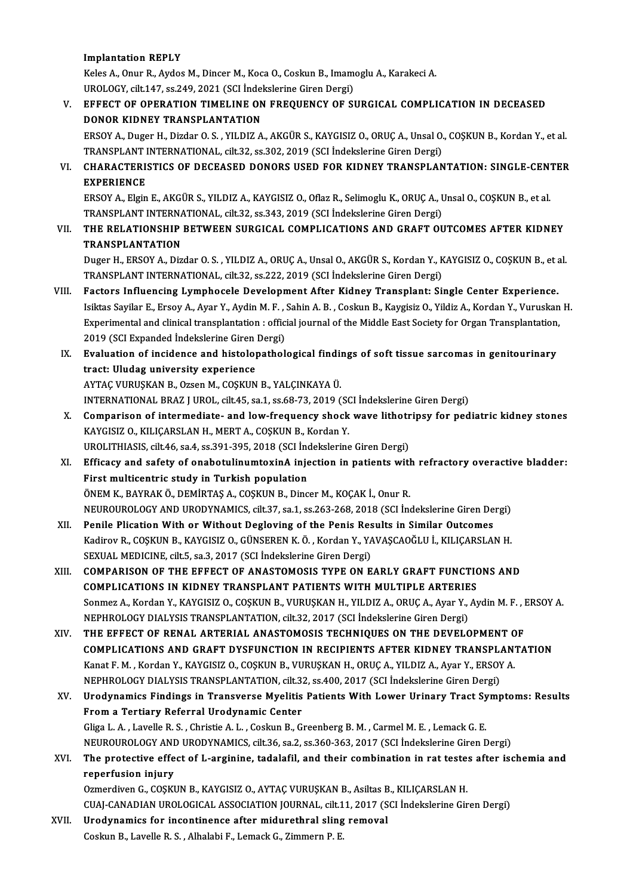#### Implantation REPLY

Keles A., Onur R., Aydos M., Dincer M., Koca O., Coskun B., Imamoglu A., Karakeci A. I<mark>mplantation REPLY</mark><br>Keles A., Onur R., Aydos M., Dincer M., Koca O., Coskun B., Imam<br>UROLOGY, cilt.147, ss.249, 2021 (SCI İndekslerine Giren Dergi)<br>EEEECT OE OPERATION TIMELINE ON EPEQUENCY OE SI

### V. EFFECT OF OPERATION TIMELINE ON FREQUENCY OF SURGICAL COMPLICATION IN DECEASED<br>DONOR KIDNEY TRANSPLANTATION UROLOGY, cilt.147, ss.249, 2021 (SCI İndel<br>EFFECT OF OPERATION TIMELINE ON<br>DONOR KIDNEY TRANSPLANTATION<br>EPSOV A. Dugor H. Dizdar O. S., VILDIZ A EFFECT OF OPERATION TIMELINE ON FREQUENCY OF SURGICAL COMPLICATION IN DECEASED<br>DONOR KIDNEY TRANSPLANTATION<br>ERSOY A., Duger H., Dizdar O. S. , YILDIZ A., AKGÜR S., KAYGISIZ O., ORUÇ A., Unsal O., COŞKUN B., Kordan Y., et a

DONOR KIDNEY TRANSPLANTATION<br>ERSOY A., Duger H., Dizdar O. S. , YILDIZ A., AKGÜR S., KAYGISIZ O., ORUÇ A., Unsal O.<br>TRANSPLANT INTERNATIONAL, cilt.32, ss.302, 2019 (SCI İndekslerine Giren Dergi)<br>CHARACTERISTICS OF DECEASED ERSOY A., Duger H., Dizdar O. S. , YILDIZ A., AKGÜR S., KAYGISIZ O., ORUÇ A., Unsal O., COŞKUN B., Kordan Y., et al.<br>TRANSPLANT INTERNATIONAL, cilt.32, ss.302, 2019 (SCI İndekslerine Giren Dergi)<br>VI. CHARACTERISTICS OF DEC

TRANSPLANT INTERNATIONAL, cilt.32, ss.302, 2019 (SCI İndekslerine Giren Dergi)<br>VI. CHARACTERISTICS OF DECEASED DONORS USED FOR KIDNEY TRANSPLANTATION: SINGLE-CENTER<br>EXPERIENCE CHARACTERISTICS OF DECEASED DONORS USED FOR KIDNEY TRANSPLANTATION: SINGLE-CEN'<br>EXPERIENCE<br>ERSOY A., Elgin E., AKGÜR S., YILDIZ A., KAYGISIZ O., Oflaz R., Selimoglu K., ORUÇ A., Unsal O., COŞKUN B., et al.<br>TRANSPLANT INTER

EXPERIENCE<br>ERSOY A., Elgin E., AKGÜR S., YILDIZ A., KAYGISIZ O., Oflaz R., Selimoglu K., ORUÇ A., I<br>TRANSPLANT INTERNATIONAL, cilt.32, ss.343, 2019 (SCI İndekslerine Giren Dergi)<br>THE REL ATIONSHIR RETWEEN SURCICAL COMPLICA ERSOY A., Elgin E., AKGÜR S., YILDIZ A., KAYGISIZ O., Oflaz R., Selimoglu K., ORUÇ A., Unsal O., COŞKUN B., et al.<br>TRANSPLANT INTERNATIONAL, cilt.32, ss.343, 2019 (SCI İndekslerine Giren Dergi)<br>VII. THE RELATIONSHIP BETWEE

TRANSPLANT INTERNA<br>THE RELATIONSHIP<br>TRANSPLANTATION<br>Dugor H - ERSOY A - Dig THE RELATIONSHIP BETWEEN SURGICAL COMPLICATIONS AND GRAFT OUTCOMES AFTER KIDNEY<br>TRANSPLANTATION<br>Duger H., ERSOY A., Dizdar O. S. , YILDIZ A., ORUÇ A., Unsal O., AKGÜR S., Kordan Y., KAYGISIZ O., COŞKUN B., et al.<br>TRANSPLAN

TRANSPLANTATION<br>Duger H., ERSOY A., Dizdar O. S. , YILDIZ A., ORUÇ A., Unsal O., AKGÜR S., Kordan Y., K<br>TRANSPLANT INTERNATIONAL, cilt.32, ss.222, 2019 (SCI İndekslerine Giren Dergi)<br>Festars Influancing Lumphaeala Develenm Duger H., ERSOY A., Dizdar O. S., YILDIZ A., ORUÇ A., Unsal O., AKGÜR S., Kordan Y., KAYGISIZ O., COŞKUN B., eta<br>TRANSPLANT INTERNATIONAL, cilt.32, ss.222, 2019 (SCI İndekslerine Giren Dergi)<br>VIII. Factors Influencing Lymp

- TRANSPLANT INTERNATIONAL, cilt.32, ss.222, 2019 (SCI İndekslerine Giren Dergi)<br>Factors Influencing Lymphocele Development After Kidney Transplant: Single Center Experience.<br>Isiktas Sayilar E., Ersoy A., Ayar Y., Aydin M. F Factors Influencing Lymphocele Development After Kidney Transplant: Single Center Experience.<br>Isiktas Sayilar E., Ersoy A., Ayar Y., Aydin M. F. , Sahin A. B. , Coskun B., Kaygisiz O., Yildiz A., Kordan Y., Vuruskan<br>Experi Isiktas Sayilar E., Ersoy A., Ayar Y., Aydin M. F., .<br>Experimental and clinical transplantation : offic<br>2019 (SCI Expanded Indekslerine Giren Dergi)<br>Evaluation of insidence and histolenathel Experimental and clinical transplantation : official journal of the Middle East Society for Organ Transplantation,<br>2019 (SCI Expanded Indekslerine Giren Dergi)<br>IX. Evaluation of incidence and histolopathological findings o
- 2019 (SCI Expanded Indekslerine Giren<br>Evaluation of incidence and histolog<br>tract: Uludag university experience<br>AXTAC VURUSYAN B. OTSON A COSYUN Evaluation of incidence and histolopathological finding<br>tract: Uludag university experience<br>AYTAÇ VURUŞKAN B., Ozsen M., COŞKUN B., YALÇINKAYA Ü.<br>INTERNATIONAL PRAZ LUROL si<sup>1</sup>t 45 sa 1 ss 68 73 2019 ( tract: Uludag university experience<br>AYTAÇ VURUŞKAN B., Ozsen M., COŞKUN B., YALÇINKAYA Ü.<br>INTERNATIONAL BRAZ J UROL, cilt.45, sa.1, ss.68-73, 2019 (SCI İndekslerine Giren Dergi)

- AYTAÇ VURUŞKAN B., Ozsen M., COŞKUN B., YALÇINKAYA Ü.<br>INTERNATIONAL BRAZ J UROL, cilt.45, sa.1, ss.68-73, 2019 (SCI İndekslerine Giren Dergi)<br>X. Comparison of intermediate- and low-frequency shock wave lithotripsy for pedi KAYGISIZ O., KILIÇARSLAN H., MERT A., COŞKUN B., Kordan Y. Comparison of intermediate- and low-frequency shock wave lithotr<br>KAYGISIZ O., KILIÇARSLAN H., MERT A., COŞKUN B., Kordan Y.<br>UROLITHIASIS, cilt.46, sa.4, ss.391-395, 2018 (SCI İndekslerine Giren Dergi)<br>Efficesu and sefetu o UROLITHIASIS, cilt.46, sa.4, ss.391-395, 2018 (SCI Indekslerine Giren Dergi)
- XI. Efficacy and safety of onabotulinumtoxinA injection in patients with refractory overactive bladder: ÖNEM K., BAYRAK Ö., DEMİRTAŞ A., COŞKUN B., Dincer M., KOÇAK İ., Onur R. First multicentric study in Turkish population<br>ÖNEM K., BAYRAK Ö., DEMİRTAŞ A., COŞKUN B., Dincer M., KOÇAK İ., Onur R.<br>NEUROUROLOGY AND URODYNAMICS, cilt.37, sa.1, ss.263-268, 2018 (SCI İndekslerine Giren Dergi)<br>Penila Pl ÖNEM K., BAYRAK Ö., DEMIRTAŞ A., COŞKUN B., Dincer M., KOÇAK İ., Onur R.<br>NEUROUROLOGY AND URODYNAMICS, cilt.37, sa.1, ss.263-268, 2018 (SCI İndekslerine Giren De<br>XII. Penile Plication With or Without Degloving of the Penis
- NEUROUROLOGY AND URODYNAMICS, cilt.37, sa.1, ss.263-268, 2018 (SCI İndekslerine Giren Dergi)<br>Penile Plication With or Without Degloving of the Penis Results in Similar Outcomes<br>Kadirov R., COŞKUN B., KAYGISIZ O., GÜNSEREN Penile Plication With or Without Degloving of the Penis Res<br>Kadirov R., COŞKUN B., KAYGISIZ O., GÜNSEREN K. Ö. , Kordan Y., YA<br>SEXUAL MEDICINE, cilt.5, sa.3, 2017 (SCI İndekslerine Giren Dergi)<br>COMBARISON OF THE EEEECT OF Kadirov R., COŞKUN B., KAYGISIZ O., GÜNSEREN K. Ö. , Kordan Y., YAVAŞCAOĞLU İ., KILIÇARSLAN H.<br>SEXUAL MEDICINE, cilt.5, sa.3, 2017 (SCI İndekslerine Giren Dergi)<br>XIII. COMPARISON OF THE EFFECT OF ANASTOMOSIS TYPE ON EA
- SEXUAL MEDICINE, cilt.5, sa.3, 2017 (SCI İndekslerine Giren Dergi)<br>COMPARISON OF THE EFFECT OF ANASTOMOSIS TYPE ON EARLY GRAFT FUNCTIC<br>COMPLICATIONS IN KIDNEY TRANSPLANT PATIENTS WITH MULTIPLE ARTERIES<br>Sonmar A. Kordan V. Sonmez A., Kordan Y., KAYGISIZ O., COŞKUN B., VURUŞKAN H., YILDIZ A., ORUÇ A., Ayar Y., Aydin M. F. , ERSOY A.<br>NEPHROLOGY DIALYSIS TRANSPLANTATION, cilt.32, 2017 (SCI İndekslerine Giren Dergi) COMPLICATIONS IN KIDNEY TRANSPLANT PATIENTS WITH MULTIPLE ARTERIES Sonmez A., Kordan Y., KAYGISIZ O., COŞKUN B., VURUŞKAN H., YILDIZ A., ORUÇ A., Ayar Y., Aydin M. F., 1<br>NEPHROLOGY DIALYSIS TRANSPLANTATION, cilt.32, 2017 (SCI İndekslerine Giren Dergi)<br>XIV. THE EFFECT OF RENAL ARTERIAL ANA
- NEPHROLOGY DIALYSIS TRANSPLANTATION, cil.32, 2017 (SCI İndekslerine Giren Dergi)<br>THE EFFECT OF RENAL ARTERIAL ANASTOMOSIS TECHNIQUES ON THE DEVELOPMENT OF<br>COMPLICATIONS AND GRAFT DYSFUNCTION IN RECIPIENTS AFTER KIDNEY TRAN THE EFFECT OF RENAL ARTERIAL ANASTOMOSIS TECHNIQUES ON THE DEVELOPMENT O<br>COMPLICATIONS AND GRAFT DYSFUNCTION IN RECIPIENTS AFTER KIDNEY TRANSPLAN<br>Kanat F. M. , Kordan Y., KAYGISIZ O., COŞKUN B., VURUŞKAN H., ORUÇ A., YILDI COMPLICATIONS AND GRAFT DYSFUNCTION IN RECIPIENTS AFTER KIDNEY TRANSPL.<br>Kanat F. M. , Kordan Y., KAYGISIZ O., COŞKUN B., VURUŞKAN H., ORUÇ A., YILDIZ A., Ayar Y., ERSO)<br>NEPHROLOGY DIALYSIS TRANSPLANTATION, cilt.32, ss.400, Kanat F. M. , Kordan Y., KAYGISIZ O., COŞKUN B., VURUŞKAN H., ORUÇ A., YILDIZ A., Ayar Y., ERSOY A.<br>NEPHROLOGY DIALYSIS TRANSPLANTATION, cilt.32, ss.400, 2017 (SCI İndekslerine Giren Dergi)<br>XV. Urodynamics Findings in Tran
- NEPHROLOGY DIALYSIS TRANSPLANTATION, cilt.3.<br>Urodynamics Findings in Transverse Myelitis<br>From a Tertiary Referral Urodynamic Center Urodynamics Findings in Transverse Myelitis Patients With Lower Urinary Tract Sy<br>From a Tertiary Referral Urodynamic Center<br>Gliga L.A. , Lavelle R.S. , Christie A. L. , Coskun B., Greenberg B. M. , Carmel M. E. , Lemack G. From a Tertiary Referral Urodynamic Center<br>Gliga L. A. , Lavelle R. S. , Christie A. L. , Coskun B., Greenberg B. M. , Carmel M. E. , Lemack G. E.<br>NEUROUROLOGY AND URODYNAMICS, cilt.36, sa.2, ss.360-363, 2017 (SCI İndeksle Gliga L. A. , Lavelle R. S. , Christie A. L. , Coskun B., Greenberg B. M. , Carmel M. E. , Lemack G. E.<br>NEUROUROLOGY AND URODYNAMICS, cilt.36, sa.2, ss.360-363, 2017 (SCI indekslerine Giren Dergi)<br>XVI. The protective effec

## NEUROUROLOGY ANI<br>The protective effe<br>reperfusion injury<br>Ormordiven G-GOSVI Ozmerdiven G., COŞKUN B., KAYGISIZ O., AYTAÇ VURUŞKAN B., Asiltas B., KILIÇARSLAN H. reperfusion injury<br>Ozmerdiven G., COŞKUN B., KAYGISIZ O., AYTAÇ VURUŞKAN B., Asiltas B., KILIÇARSLAN H.<br>CUAJ-CANADIAN UROLOGICAL ASSOCIATION JOURNAL, cilt.11, 2017 (SCI İndekslerine Giren Dergi)<br>Unadunamisa fon insantinans

XVII. Urodynamics for incontinence after midurethral sling removal Coskun B., Lavelle R. S., Alhalabi F., Lemack G., Zimmern P. E. CUAJ-CANADIAN UROLOGICAL ASSOCIATION JOURNAL, cilt.1<br><mark>Urodynamics for incontinence after midurethral sling</mark><br>Coskun B., Lavelle R. S. , Alhalabi F., Lemack G., Zimmern P. E.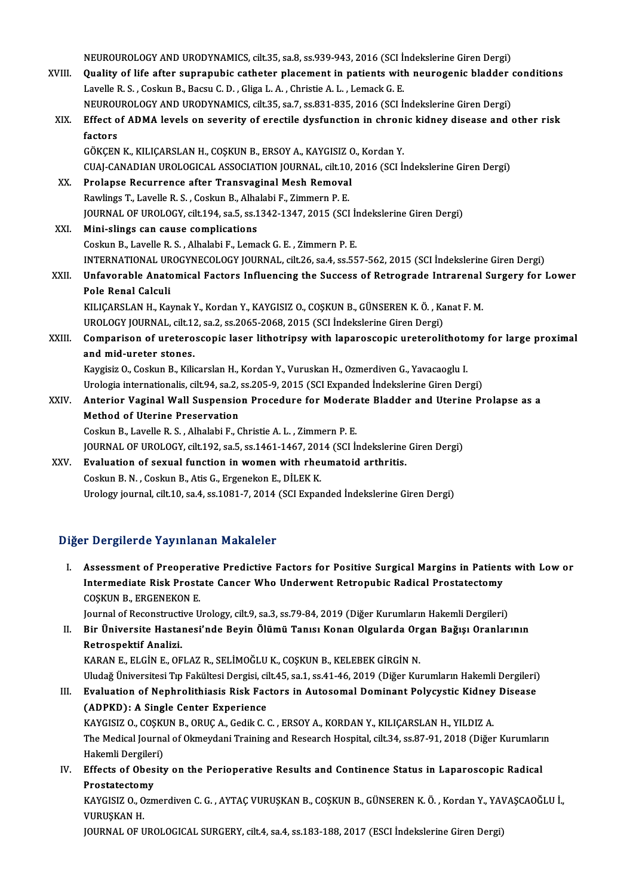|        | NEUROUROLOGY AND URODYNAMICS, cilt.35, sa.8, ss.939-943, 2016 (SCI Indekslerine Giren Dergi)        |
|--------|-----------------------------------------------------------------------------------------------------|
| XVIII. | Quality of life after suprapubic catheter placement in patients with neurogenic bladder conditions  |
|        | Lavelle R. S., Coskun B., Bacsu C. D., Gliga L. A., Christie A. L., Lemack G. E.                    |
|        | NEUROUROLOGY AND URODYNAMICS, cilt.35, sa.7, ss.831-835, 2016 (SCI İndekslerine Giren Dergi)        |
| XIX.   | Effect of ADMA levels on severity of erectile dysfunction in chronic kidney disease and other risk  |
|        | factors                                                                                             |
|        | GÖKÇEN K., KILIÇARSLAN H., COŞKUN B., ERSOY A., KAYGISIZ O., Kordan Y.                              |
|        | CUAJ-CANADIAN UROLOGICAL ASSOCIATION JOURNAL, cilt.10, 2016 (SCI İndekslerine Giren Dergi)          |
| XX.    | Prolapse Recurrence after Transvaginal Mesh Removal                                                 |
|        | Rawlings T., Lavelle R. S., Coskun B., Alhalabi F., Zimmern P. E.                                   |
|        | JOURNAL OF UROLOGY, cilt.194, sa.5, ss.1342-1347, 2015 (SCI Indekslerine Giren Dergi)               |
| XXI.   | Mini-slings can cause complications                                                                 |
|        | Coskun B., Lavelle R. S., Alhalabi F., Lemack G. E., Zimmern P. E.                                  |
|        | INTERNATIONAL UROGYNECOLOGY JOURNAL, cilt.26, sa.4, ss.557-562, 2015 (SCI İndekslerine Giren Dergi) |
| XXII.  | Unfavorable Anatomical Factors Influencing the Success of Retrograde Intrarenal Surgery for Lower   |
|        | Pole Renal Calculi                                                                                  |
|        | KILIÇARSLAN H., Kaynak Y., Kordan Y., KAYGISIZ O., COŞKUN B., GÜNSEREN K. Ö., Kanat F. M.           |
|        | UROLOGY JOURNAL, cilt.12, sa.2, ss.2065-2068, 2015 (SCI Indekslerine Giren Dergi)                   |
| XXIII. | Comparison of ureteroscopic laser lithotripsy with laparoscopic ureterolithotomy for large proximal |
|        | and mid-ureter stones.                                                                              |
|        | Kaygisiz O., Coskun B., Kilicarslan H., Kordan Y., Vuruskan H., Ozmerdiven G., Yavacaoglu I.        |
|        | Urologia internationalis, cilt.94, sa.2, ss.205-9, 2015 (SCI Expanded Indekslerine Giren Dergi)     |
| XXIV.  | Anterior Vaginal Wall Suspension Procedure for Moderate Bladder and Uterine Prolapse as a           |
|        | <b>Method of Uterine Preservation</b>                                                               |
|        | Coskun B., Lavelle R. S., Alhalabi F., Christie A. L., Zimmern P. E.                                |
|        | JOURNAL OF UROLOGY, cilt.192, sa.5, ss.1461-1467, 2014 (SCI Indekslerine Giren Dergi)               |
| XXV.   | Evaluation of sexual function in women with rheumatoid arthritis.                                   |
|        | Coskun B. N., Coskun B., Atis G., Ergenekon E., DİLEK K.                                            |
|        | Urology journal, cilt.10, sa.4, ss.1081-7, 2014 (SCI Expanded Indekslerine Giren Dergi)             |
|        |                                                                                                     |

#### Diğer Dergilerde Yayınlanan Makaleler

Iger Dergilerde Yayınlanan Makaleler<br>I. Assessment of Preoperative Predictive Factors for Positive Surgical Margins in Patients with Low or<br>Intermediate Biek Prestate Cancer Who Underweat Petrepubis Pedical Prestatestamy Intermediate Proponalism Prondiction<br>Assessment of Preoperative Predictive Factors for Positive Surgical Margins in Patient<br>Intermediate Risk Prostate Cancer Who Underwent Retropubic Radical Prostatectomy Assessment of Preopera<br>Intermediate Risk Prosta<br>COȘKUN B., ERGENEKON E.<br>Journal of Peconstructive II Intermediate Risk Prostate Cancer Who Underwent Retropubic Radical Prostatectomy<br>COSKUN B., ERGENEKON E.<br>Journal of Reconstructive Urology, cilt.9, sa.3, ss.79-84, 2019 (Diğer Kurumların Hakemli Dergileri)

II. Bir Üniversite Hastanesi'nde Beyin Ölümü Tanısı Konan Olgularda Organ Bağışı Oranlarının Retrospektif Analizi. KARAN E., ELGİN E., OFLAZ R., SELİMOĞLU K., COŞKUN B., KELEBEK GİRGİN N. Retrospektif Analizi.<br>KARAN E., ELGİN E., OFLAZ R., SELİMOĞLU K., COŞKUN B., KELEBEK GİRGİN N.<br>Uludağ Üniversitesi Tıp Fakültesi Dergisi, cilt.45, sa.1, ss.41-46, 2019 (Diğer Kurumların Hakemli Dergileri)<br>Fyalustion of Nan

KARAN E., ELGİN E., OFLAZ R., SELİMOĞLU K., COŞKUN B., KELEBEK GİRGİN N.<br>Uludağ Üniversitesi Tıp Fakültesi Dergisi, cilt.45, sa.1, ss.41-46, 2019 (Diğer Kurumların Hakemli Dergileri)<br>III. Evaluation of Nephrolithiasis Risk Uludağ Üniversitesi Tıp Fakültesi Dergisi, ci<br>Evaluation of Nephrolithiasis Risk Fac<br>(ADPKD): A Single Center Experience<br>KAVCISIZ O COSKUN B. OBUC A Cedik C. III. Evaluation of Nephrolithiasis Risk Factors in Autosomal Dominant Polycystic Kidney Disease<br>(ADPKD): A Single Center Experience

(ADPKD): A Single Center Experience<br>KAYGISIZ O., COŞKUN B., ORUÇ A., Gedik C. C. , ERSOY A., KORDAN Y., KILIÇARSLAN H., YILDIZ A.<br>The Medical Journal of Okmeydani Training and Research Hospital, cilt.34, ss.87-91, 2018 (Di KAYGISIZ O., COŞKUN B., ORUÇ A., Gedik C. C. , ERSOY A., KORDAN Y., KILIÇARSLAN H., YILDIZ A.<br>The Medical Journal of Okmeydani Training and Research Hospital, cilt.34, ss.87-91, 2018 (Diğer<br>Hakemli Dergileri) The Medical Journal of Okmeydani Training and Research Hospital, cilt.34, ss.87-91, 2018 (Diğer Kurumları Hakemli Dergileri)<br>IV. Effects of Obesity on the Perioperative Results and Continence Status in Laparoscopic Radical

IV. Effects of Obesity on the Perioperative Results and Continence Status in Laparoscopic Radical Prostatectomy Effects of Obesity on the Perioperative Results and Continence Status in Laparoscopic Radical<br>Prostatectomy<br>KAYGISIZ O., Ozmerdiven C. G. , AYTAÇ VURUŞKAN B., COŞKUN B., GÜNSEREN K. Ö. , Kordan Y., YAVAŞCAOĞLU İ.,<br>VURUSYAN

Prostatectom<br>KAYGISIZ 0., 0<br>VURUŞKAN H.<br>JOUPNAL OF U KAYGISIZ O., Ozmerdiven C. G. , AYTAÇ VURUŞKAN B., COŞKUN B., GÜNSEREN K. Ö. , Kordan Y., YA\<br>VURUŞKAN H.<br>JOURNAL OF UROLOGICAL SURGERY, cilt.4, sa.4, ss.183-188, 2017 (ESCI İndekslerine Giren Dergi)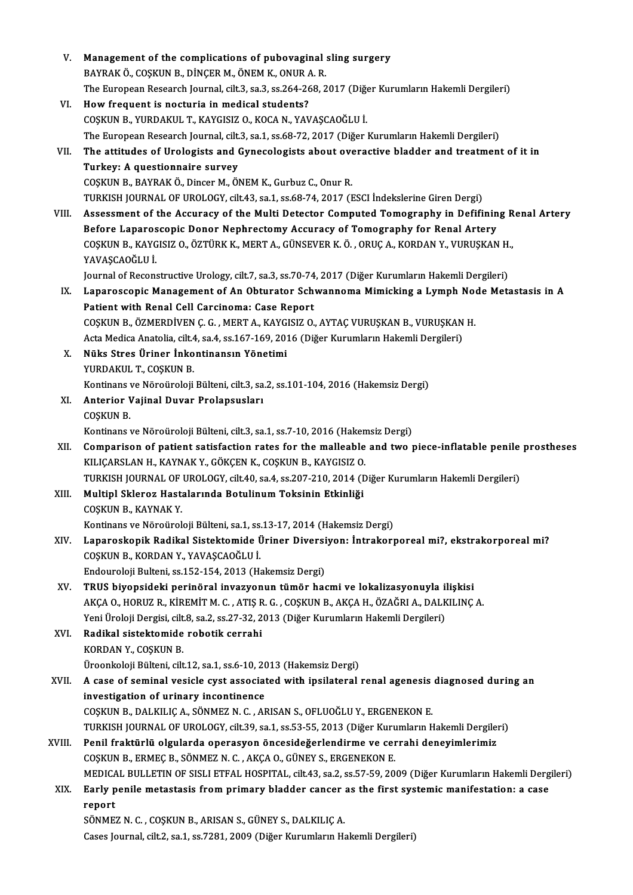| V.     | Management of the complications of pubovaginal sling surgery                                                 |
|--------|--------------------------------------------------------------------------------------------------------------|
|        | BAYRAK Ö., COŞKUN B., DİNÇER M., ÖNEM K., ONUR A.R.                                                          |
|        | The European Research Journal, cilt.3, sa.3, ss.264-268, 2017 (Diğer Kurumların Hakemli Dergileri)           |
| VI.    | How frequent is nocturia in medical students?                                                                |
|        | COŞKUN B., YURDAKUL T., KAYGISIZ O., KOCA N., YAVAŞCAOĞLU İ.                                                 |
|        | The European Research Journal, cilt.3, sa.1, ss.68-72, 2017 (Diğer Kurumların Hakemli Dergileri)             |
| VII.   | The attitudes of Urologists and Gynecologists about overactive bladder and treatment of it in                |
|        | Turkey: A questionnaire survey                                                                               |
|        | COȘKUN B., BAYRAK Ö., Dincer M., ÖNEM K., Gurbuz C., Onur R.                                                 |
|        | TURKISH JOURNAL OF UROLOGY, cilt.43, sa.1, ss.68-74, 2017 (ESCI İndekslerine Giren Dergi)                    |
| VIII.  | Assessment of the Accuracy of the Multi Detector Computed Tomography in Defifining Renal Artery              |
|        | Before Laparoscopic Donor Nephrectomy Accuracy of Tomography for Renal Artery                                |
|        | COŞKUN B., KAYGISIZ O., ÖZTÜRK K., MERT A., GÜNSEVER K. Ö., ORUÇ A., KORDAN Y., VURUŞKAN H.,                 |
|        | YAVAŞCAOĞLU İ                                                                                                |
|        | Journal of Reconstructive Urology, cilt.7, sa.3, ss.70-74, 2017 (Diğer Kurumların Hakemli Dergileri)         |
| IX.    | Laparoscopic Management of An Obturator Schwannoma Mimicking a Lymph Node Metastasis in A                    |
|        | Patient with Renal Cell Carcinoma: Case Report                                                               |
|        | COŞKUN B., ÖZMERDİVEN Ç. G., MERT A., KAYGISIZ O., AYTAÇ VURUŞKAN B., VURUŞKAN H.                            |
|        | Acta Medica Anatolia, cilt.4, sa.4, ss.167-169, 2016 (Diğer Kurumların Hakemli Dergileri)                    |
| Х.     | Nüks Stres Üriner İnkontinansın Yönetimi                                                                     |
|        | YURDAKUL T., COŞKUN B.                                                                                       |
|        | Kontinans ve Nöroüroloji Bülteni, cilt.3, sa.2, ss.101-104, 2016 (Hakemsiz Dergi)                            |
| XI.    | Anterior Vajinal Duvar Prolapsusları                                                                         |
|        | COȘKUN B.                                                                                                    |
|        | Kontinans ve Nöroüroloji Bülteni, cilt 3, sa.1, ss.7-10, 2016 (Hakemsiz Dergi)                               |
| XII.   | Comparison of patient satisfaction rates for the malleable and two piece-inflatable penile prostheses        |
|        | KILIÇARSLAN H., KAYNAK Y., GÖKÇEN K., COŞKUN B., KAYGISIZ O.                                                 |
|        | TURKISH JOURNAL OF UROLOGY, cilt.40, sa.4, ss.207-210, 2014 (Diğer Kurumların Hakemli Dergileri)             |
| XIII.  | Multipl Skleroz Hastalarında Botulinum Toksinin Etkinliği                                                    |
|        | COSKUN B., KAYNAK Y                                                                                          |
|        | Kontinans ve Nöroüroloji Bülteni, sa.1, ss.13-17, 2014 (Hakemsiz Dergi)                                      |
| XIV.   | Laparoskopik Radikal Sistektomide Üriner Diversiyon: İntrakorporeal mi?, ekstrakorporeal mi?                 |
|        | COȘKUN B., KORDAN Y., YAVAȘCAOĞLU İ.                                                                         |
|        | Endouroloji Bulteni, ss.152-154, 2013 (Hakemsiz Dergi)                                                       |
| XV.    | TRUS biyopsideki perinöral invazyonun tümör hacmi ve lokalizasyonuyla ilişkisi                               |
|        | AKÇA O., HORUZ R., KİREMİT M. C. , ATIŞ R. G. , COŞKUN B., AKÇA H., ÖZAĞRI A., DALKILINÇ A.                  |
|        | Yeni Üroloji Dergisi, cilt.8, sa.2, ss.27-32, 2013 (Diğer Kurumların Hakemli Dergileri)                      |
| XVI.   | Radikal sistektomide robotik cerrahi                                                                         |
|        | KORDAN Y., COŞKUN B.                                                                                         |
|        | Üroonkoloji Bülteni, cilt.12, sa.1, ss.6-10, 2013 (Hakemsiz Dergi)                                           |
| XVII.  | A case of seminal vesicle cyst associated with ipsilateral renal agenesis diagnosed during an                |
|        | investigation of urinary incontinence                                                                        |
|        | COȘKUN B., DALKILIÇ A., SÖNMEZ N. C., ARISAN S., OFLUOĞLU Y., ERGENEKON E.                                   |
|        | TURKISH JOURNAL OF UROLOGY, cilt.39, sa.1, ss.53-55, 2013 (Diğer Kurumların Hakemli Dergileri)               |
| XVIII. | Penil fraktürlü olgularda operasyon öncesideğerlendirme ve cerrahi deneyimlerimiz                            |
|        | COSKUN B., ERMEÇ B., SÖNMEZ N. C., AKÇA O., GÜNEY S., ERGENEKON E.                                           |
|        | MEDICAL BULLETIN OF SISLI ETFAL HOSPITAL, cilt.43, sa.2, ss.57-59, 2009 (Diğer Kurumların Hakemli Dergileri) |
| XIX.   | Early penile metastasis from primary bladder cancer as the first systemic manifestation: a case              |
|        | report                                                                                                       |
|        | SÖNMEZ N. C., COŞKUN B., ARISAN S., GÜNEY S., DALKILIÇ A.                                                    |
|        | Cases Journal, cilt.2, sa.1, ss.7281, 2009 (Diğer Kurumların Hakemli Dergileri)                              |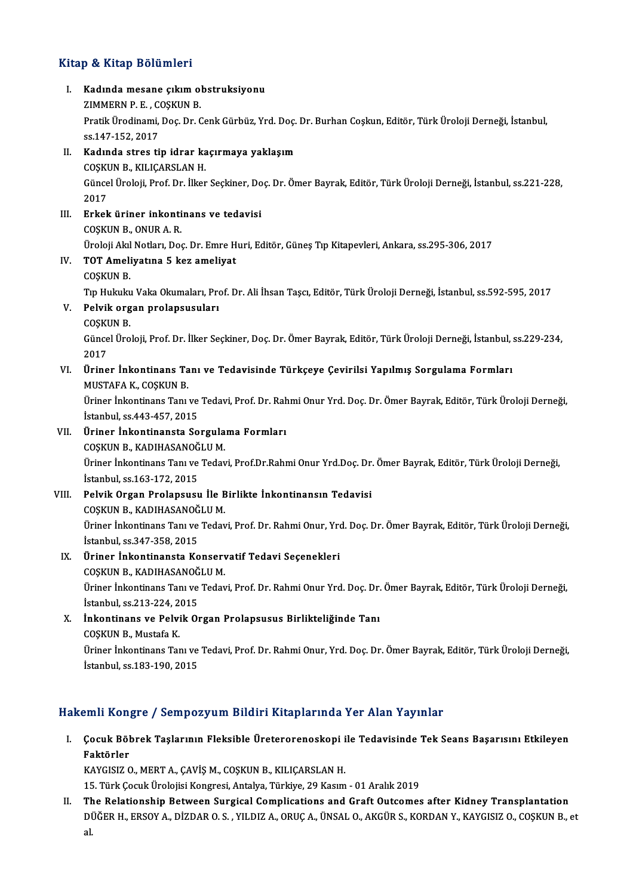#### Kitap & Kitap Bölümleri

itap & Kitap Bölümleri<br>I. Kadında mesane çıkım obstruksiyonu<br>ZIMMERN B.E. COSKUN B Extracted by Commission<br>
Kadında mesane çıkım ol<br>
ZIMMERN P. E. , COŞKUN B.<br>
Pratik Üradinami, Des Dr. 6 Kadında mesane çıkım obstruksiyonu<br>ZIMMERN P. E. , COŞKUN B.<br>Pratik Ürodinami, Doç. Dr. Cenk Gürbüz, Yrd. Doç. Dr. Burhan Coşkun, Editör, Türk Üroloji Derneği, İstanbul,<br>98.147.152. 2017 ZIMMERN P. E. , C<br>Pratik Ürodinami,<br>ss.147-152, 2017<br>Kodinde stres ti Pratik Ürodinami, Doç. Dr. Cenk Gürbüz, Yrd. Doç.<br>ss.147-152, 2017<br>II. Kadında stres tip idrar kaçırmaya yaklaşım<br>COSYUN B. YU ICABSLAN H ss.147-152, 2017<br>II. Kadında stres tip idrar kaçırmaya yaklaşım<br>COŞKUN B., KILIÇARSLAN H. Kadında stres tip idrar kaçırmaya yaklaşım<br>COŞKUN B., KILIÇARSLAN H.<br>Güncel Üroloji, Prof. Dr. İlker Seçkiner, Doç. Dr. Ömer Bayrak, Editör, Türk Üroloji Derneği, İstanbul, ss.221-228, COȘKI<br>Günce<br>2017<br>Erkab Güncel Üroloji, Prof. Dr. İlker Seçkiner, Do<br>2017<br>III. Erkek üriner inkontinans ve tedavisi 2017<br><mark>Erkek üriner inkonti</mark><br>COŞKUN B., ONUR A. R.<br>Üreleji Alzl Netları, Des COŞKUN B., ONUR A. R.<br>Üroloji Akıl Notları, Doç. Dr. Emre Huri, Editör, Güneş Tıp Kitapevleri, Ankara, ss.295-306, 2017 COŞKUN B., ONUR A. R.<br>Üroloji Akıl Notları, Doç. Dr. Emre H<br>IV. TOT Ameliyatına 5 kez ameliyat<br>COSKUN B Üroloji Akıl<br>**TOT Amel**i<br>COŞKUN B.<br>Tın Hulada COŞKUN B.<br>Tıp Hukuku Vaka Okumaları, Prof. Dr. Ali İhsan Taşcı, Editör, Türk Üroloji Derneği, İstanbul, ss.592-595, 2017 COŞKUN B.<br>Tıp Hukuku Vaka Okumaları, Pro<br>V. Pelvik organ prolapsusuları<br>COSKUN B Tip Hukuku<br>Pel<mark>vik org</mark><br>COȘKUN B.<br>Cünsel Üre Pelvik organ prolapsusuları<br>COŞKUN B.<br>Güncel Üroloji, Prof. Dr. İlker Seçkiner, Doç. Dr. Ömer Bayrak, Editör, Türk Üroloji Derneği, İstanbul, ss.229-234, COȘKI<br>Günce<br>2017<br>Ürine Güncel Üroloji, Prof. Dr. İlker Seçkiner, Doç. Dr. Ömer Bayrak, Editör, Türk Üroloji Derneği, İstanbul, :<br>2017<br>VI. Üriner İnkontinans Tanı ve Tedavisinde Türkçeye Çevirilsi Yapılmış Sorgulama Formları<br>MUSTAFA K. COSKUN B 2017<br>Üriner İnkontinans Ta<br>MUSTAFA K., COŞKUN B.<br>Üriner İnkontinans Tanı Üriner İnkontinans Tanı ve Tedavisinde Türkçeye Çevirilsi Yapılmış Sorgulama Formları<br>MUSTAFA K., COŞKUN B.<br>Üriner İnkontinans Tanı ve Tedavi, Prof. Dr. Rahmi Onur Yrd. Doç. Dr. Ömer Bayrak, Editör, Türk Üroloji Derneği,<br>İ MUSTAFA K., COŞKUN B.<br>Üriner İnkontinans Tanı ve<br>İstanbul, ss.443-457, 2015<br>Üriner İnkontinansta Se Üriner İnkontinans Tanı ve Tedavi, Prof. Dr. Rah<br>İstanbul, ss.443-457, 2015<br>VII. Üriner İnkontinansta Sorgulama Formları<br>COSKUN B. KADIHASANOČULM İstanbul, ss.443-457, 2015<br>Üriner İnkontinansta Sorgula<br>COŞKUN B., KADIHASANOĞLU M.<br>Üriner İnkontinana Tan ve Taday Üriner İnkontinansta Sorgulama Formları<br>COŞKUN B., KADIHASANOĞLU M.<br>Üriner İnkontinans Tanı ve Tedavi, Prof.Dr.Rahmi Onur Yrd.Doç. Dr. Ömer Bayrak, Editör, Türk Üroloji Derneği,<br>İstanbul, ss.163-172, 2015 COŞKUN B., KADIHASANOĞ<br>Üriner İnkontinans Tanı ve<br>İstanbul, ss.163-172, 2015<br>Bolyik Organ Brolancusu Üriner İnkontinans Tanı ve Tedavi, Prof.Dr.Rahmi Onur Yrd.Doç. Dr.<br>1981-172, 2015<br>VIII. Pelvik Organ Prolapsusu İle Birlikte İnkontinansın Tedavisi<br>2005-COSKUN B. KADIHASANOĞLUM İstanbul, ss.163-172, 2015<br>Pelvik Organ Prolapsusu İle B<br>COŞKUN B., KADIHASANOĞLU M.<br>Üriner İnkantinans Tan ve Teday Pelvik Organ Prolapsusu İle Birlikte İnkontinansın Tedavisi<br>COŞKUN B., KADIHASANOĞLU M.<br>Üriner İnkontinans Tanı ve Tedavi, Prof. Dr. Rahmi Onur, Yrd. Doç. Dr. Ömer Bayrak, Editör, Türk Üroloji Derneği,<br>İstanbul se 247 259 COŞKUN B., KADIHASANOĞ<br>Üriner İnkontinans Tanı ve<br>İstanbul, ss.347-358, 2015<br>Üriner İnkontinansta Ko Üriner İnkontinans Tanı ve Tedavi, Prof. Dr. Rahmi Onur, Yra<br>İstanbul, ss.347-358, 2015<br>IX. Üriner İnkontinansta Konservatif Tedavi Seçenekleri<br>COSKUN B. KADIHASANOČU M İstanbul, ss.347-358, 2015<br>Üriner İnkontinansta Konsery<br>COŞKUN B., KADIHASANOĞLU M.<br>Üriner İnkontinans Tan ve Tedev Üriner İnkontinans Tanı ve Tedavi, Prof. Dr. Rahmi Onur Yrd. Doç. Dr. Ömer Bayrak, Editör, Türk Üroloji Derneği,<br>İstanbul, ss.213-224. 2015 COSKUN B., KADIHASANOĞLU M. Üriner İnkontinans Tanı ve Tedavi, Prof. Dr. Rahmi Onur Yrd. Doç. Dr.<br>İstanbul, ss.213-224, 2015<br>X. İnkontinans ve Pelvik Organ Prolapsusus Birlikteliğinde Tanı<br>COSKUN B. Mustafa K İstanbul, ss.213-224, 2<br>İnkontinans ve Pelvi<br>COŞKUN B., Mustafa K.<br>Üriner İnkontinans Ter

İ<mark>nkontinans ve Pelvik Organ Prolapsusus Birlikteliğinde Tanı</mark><br>COŞKUN B., Mustafa K.<br>Üriner İnkontinans Tanı ve Tedavi, Prof. Dr. Rahmi Onur, Yrd. Doç. Dr. Ömer Bayrak, Editör, Türk Üroloji Derneği, COȘKUN B., Mustafa K.<br>Üriner İnkontinans Tanı ve<br>İstanbul, ss.183-190, 2015

# İstanbul, ss.183-190, 2015<br>Hakemli Kongre / Sempozyum Bildiri Kitaplarında Yer Alan Yayınlar

akemli Kongre / Sempozyum Bildiri Kitaplarında Yer Alan Yayınlar<br>I. Çocuk Böbrek Taşlarının Fleksible Üreterorenoskopi ile Tedavisinde Tek Seans Başarısını Etkileyen<br>Raktörler sinir isoli<sub>i</sub><br>Çocuk Böl<br>Faktörler<br>KAVÇISIZ G Çocuk Böbrek Taşlarının Fleksible Üreterorenoskopi i<br>Faktörler<br>KAYGISIZ O., MERT A., ÇAVİŞ M., COŞKUN B., KILIÇARSLAN H.<br>15. Türk Cosuk Ürelejisi Konsresi, Artalya, Türkiye 29 Kasım Faktörler<br>KAYGISIZ O., MERT A., ÇAVİŞ M., COŞKUN B., KILIÇARSLAN H.<br>15. Türk Çocuk Ürolojisi Kongresi, Antalya, Türkiye, 29 Kasım - 01 Aralık 2019

II. The Relationship Between Surgical Complications and Graft Outcomes after Kidney Transplantation DÜĞER H., ERSOY A., DİZDAR O. S. , YILDIZ A., ORUÇ A., ÜNSAL O., AKGÜR S., KORDAN Y., KAYGISIZ O., COŞKUN B., et<br>al. Tł<br>Di<br>al.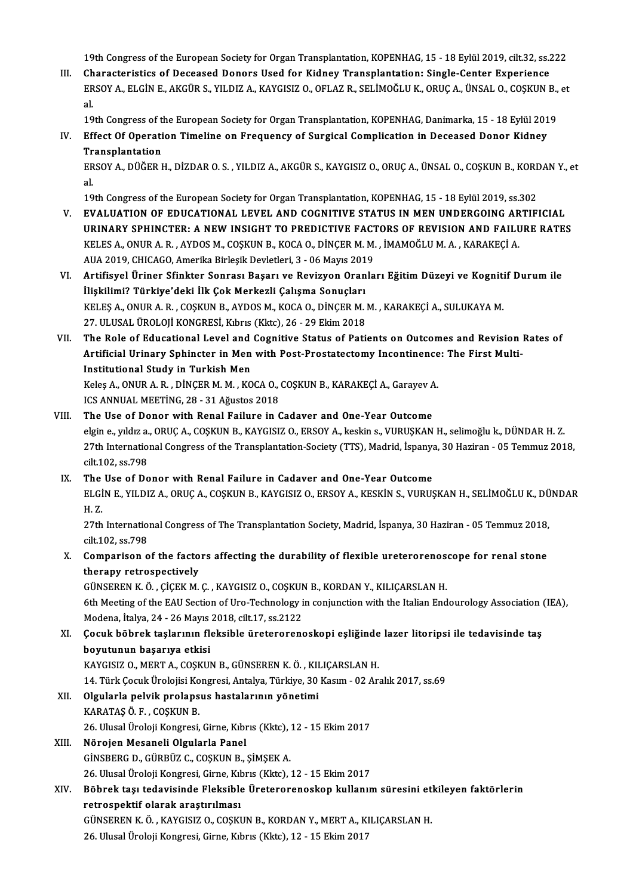19th Congress of the European Society for Organ Transplantation, KOPENHAG, 15 - 18 Eylül 2019, cilt.32, ss.222<br>Chanasteristics of Deseased Denors Heed for Kidney Transplantation, Single Center Euneriance

19th Congress of the European Society for Organ Transplantation, KOPENHAG, 15 - 18 Eylül 2019, cilt.32, ss.2<br>III. Characteristics of Deceased Donors Used for Kidney Transplantation: Single-Center Experience<br>FRSOV A. FLCIN 19th Congress of the European Society for Organ Transplantation, KOPENHAG, 15 - 18 Eylül 2019, cilt.32, ss.222<br>Characteristics of Deceased Donors Used for Kidney Transplantation: Single-Center Experience<br>ERSOY A., ELGİN E. Ch<br>ER<br>al. ERSOY A., ELGİN E., AKGÜR S., YILDIZ A., KAYGISIZ O., OFLAZ R., SELİMOĞLU K., ORUÇ A., ÜNSAL O., COŞKUN B., et<br>al

al.<br>19th Congress of the European Society for Organ Transplantation, KOPENHAG, Danimarka, 15 - 18 Eylül 201<br>IV. Effect Of Operation Timeline on Frequency of Surgical Complication in Deceased Donor Kidney<br>Transplantation 19th Congress of the European Society for Organ Transplantation, KOPENHAG, Danimarka, 15 - 18 Eylül 2019<br>Effect Of Operation Timeline on Frequency of Surgical Complication in Deceased Donor Kidney<br>Transplantation<br>ERSOY A., Effect Of Operation Timeline on Frequency of Surgical Complication in Deceased Donor Kidney<br>Transplantation<br>ERSOY A., DÜĞER H., DİZDAR O. S. , YILDIZ A., AKGÜR S., KAYGISIZ O., ORUÇ A., ÜNSAL O., COŞKUN B., KORDAN Y., et<br>a

Tr<br>ER<br>al.

al.<br>19th Congress of the European Society for Organ Transplantation, KOPENHAG, 15 - 18 Eylül 2019, ss.302

- al.<br>19th Congress of the European Society for Organ Transplantation, KOPENHAG, 15 18 Eylül 2019, ss.302<br>V. EVALUATION OF EDUCATIONAL LEVEL AND COGNITIVE STATUS IN MEN UNDERGOING ARTIFICIAL<br>URINARY SPHINGTER, A NEW INSIGH 19th Congress of the European Society for Organ Transplantation, KOPENHAG, 15 - 18 Eylül 2019, ss.302<br>EVALUATION OF EDUCATIONAL LEVEL AND COGNITIVE STATUS IN MEN UNDERGOING ARTIFICIAL<br>URINARY SPHINCTER: A NEW INSIGHT TO PR EVALUATION OF EDUCATIONAL LEVEL AND COGNITIVE STATUS IN MEN UNDERGOING AR<br>URINARY SPHINCTER: A NEW INSIGHT TO PREDICTIVE FACTORS OF REVISION AND FAILL<br>KELES A., ONUR A. R. , AYDOS M., COŞKUN B., KOCA O., DİNÇER M. M. , İMA URINARY SPHINCTER: A NEW INSIGHT TO PREDICTIVE FACT<br>KELES A., ONUR A. R. , AYDOS M., COŞKUN B., KOCA O., DİNÇER M. M.<br>AUA 2019, CHICAGO, Amerika Birleşik Devletleri, 3 - 06 Mayıs 2019<br>Artifiqual Ürinar Sfinktar Sanraqı Baş KELES A., ONUR A. R. , AYDOS M., COŞKUN B., KOCA O., DİNÇER M. M. , İMAMOĞLU M. A. , KARAKEÇİ A.<br>AUA 2019, CHICAGO, Amerika Birleşik Devletleri, 3 - 06 Mayıs 2019<br>VI. Artifisyel Üriner Sfinkter Sonrası Başarı ve Revizyon O
- AUA 2019, CHICAGO, Amerika Birleşik Devletleri, 3 06 Mayıs 201<br>Artifisyel Üriner Sfinkter Sonrası Başarı ve Revizyon Oran<br>İlişkilimi? Türkiye'deki İlk Çok Merkezli Çalışma Sonuçları<br>KELES A. ONUP A. B., COSKUN B. AYDOS M Artifisyel Üriner Sfinkter Sonrası Başarı ve Revizyon Oranları Eğitim Düzeyi ve Kogniti<br>İlişkilimi? Türkiye'deki İlk Çok Merkezli Çalışma Sonuçları<br>KELEŞ A., ONUR A. R. , COŞKUN B., AYDOS M., KOCA O., DİNÇER M. M. , KARAKE İlişkilimi? Türkiye'deki İlk Çok Merkezli Çalışma Sonuçları<br>KELEŞ A., ONUR A. R. , COŞKUN B., AYDOS M., KOCA O., DİNÇER M. M. , KARAKEÇİ A., SULUKAYA M.<br>27. ULUSAL ÜROLOJİ KONGRESİ, Kıbrıs (Kktc), 26 - 29 Ekim 2018 KELEŞ A., ONUR A. R. , COŞKUN B., AYDOS M., KOCA O., DİNÇER M. M. , KARAKEÇİ A., SULUKAYA M.<br>27. ULUSAL ÜROLOJİ KONGRESİ, Kıbrıs (Kktc), 26 - 29 Ekim 2018<br>VII. The Role of Educational Level and Cognitive Status of Pati
- 27. ULUSAL ÜROLOJİ KONGRESİ, Kıbrıs (Kktc), 26 29 Ekim 2018<br>The Role of Educational Level and Cognitive Status of Patients on Outcomes and Revision<br>Artificial Urinary Sphincter in Men with Post-Prostatectomy Incontinence The Role of Educational Level and<br>Artificial Urinary Sphincter in Men<br>Institutional Study in Turkish Men<br>Keles A. ONUP A. P. DINGER M.M., KO Artificial Urinary Sphincter in Men with Post-Prostatectomy Incontinence: The First Multi-<br>Institutional Study in Turkish Men<br>Keleş A., ONUR A. R. , DİNÇER M. M. , KOCA O., COŞKUN B., KARAKEÇİ A., Garayev A.<br>ICS ANNUAL MEE

Keleş A., ONUR A. R., DİNÇER M. M., KOCA O., COŞKUN B., KARAKEÇİ A., Garayev A.

#### VIII. The Use of Donor with Renal Failure in Cadaver and One-Year Outcome ICS ANNUAL MEETİNG, 28 - 31 Ağustos 2018<br>The Use of Donor with Renal Failure in Cadaver and One-Year Outcome<br>elgin e., yıldız a., ORUÇ A., COŞKUN B., KAYGISIZ O., ERSOY A., keskin s., VURUŞKAN H., selimoğlu k., DÜNDAR H.Z. The Use of Donor with Renal Failure in Cadaver and One-Year Outcome<br>elgin e., yıldız a., ORUÇ A., COŞKUN B., KAYGISIZ O., ERSOY A., keskin s., VURUŞKAN H., selimoğlu k., DÜNDAR H. Z.<br>27th International Congress of the Tran elgin e., yıldız a.<br>27th Internatio<br>cilt.102, ss.798<br>The Hae of Da 27th International Congress of the Transplantation-Society (TTS), Madrid, İspanya, 30 Haziran - 05 Temmuz 2018,<br>cilt.102, ss.798<br>IX. The Use of Donor with Renal Failure in Cadaver and One-Year Outcome

## cilt.102, ss.798<br>The Use of Donor with Renal Failure in Cadaver and One-Year Outcome<br>ELGİN E., YILDIZ A., ORUÇ A., COŞKUN B., KAYGISIZ O., ERSOY A., KESKİN S., VURUŞKAN H., SELİMOĞLU K., DÜNDAR<br>H. 7 The<br>ELGI<br>H.Z. ELGİN E., YILDIZ A., ORUÇ A., COŞKUN B., KAYGISIZ O., ERSOY A., KESKİN S., VURUŞKAN H., SELİMOĞLU K., DÜ<br>H. Z.<br>27th International Congress of The Transplantation Society, Madrid, İspanya, 30 Haziran - 05 Temmuz 2018,<br>cilt

H. Z.<br>27th International Congress of The Transplantation Society, Madrid, İspanya, 30 Haziran - 05 Temmuz 2018,<br>cilt.102, ss.798 27th International Congress of The Transplantation Society, Madrid, İspanya, 30 Haziran - 05 Temmuz 2018,<br>cilt.102, ss.798<br>X. Comparison of the factors affecting the durability of flexible ureterorenoscope for renal stone<br>

# cilt.102, ss.798<br>Comparison of the facto<br>therapy retrospectively<br>CÜNSEREN KÖ CİSEK M Comparison of the factors affecting the durability of flexible ureterorenose<br>therapy retrospectively<br>GÜNSEREN K.Ö., ÇİÇEKM.Ç., KAYGISIZ O., COŞKUN B., KORDAN Y., KILIÇARSLAN H.<br>Eth Mesting of the FAU Section of Ure Technol

therapy retrospectively<br>GÜNSEREN K. Ö. , ÇİÇEK M. Ç. , KAYGISIZ O., COŞKUN B., KORDAN Y., KILIÇARSLAN H.<br>6th Meeting of the EAU Section of Uro-Technology in conjunction with the Italian Endourology Association (IEA),<br>Moden GÜNSEREN K. Ö. , ÇİÇEK M. Ç. , KAYGISIZ O., COŞKUN<br>6th Meeting of the EAU Section of Uro-Technology i<br>Modena, İtalya, 24 - 26 Mayıs 2018, cilt.17, ss.2122<br>Cosuk böhrek taslarının fleksible üretererene 6th Meeting of the EAU Section of Uro-Technology in conjunction with the Italian Endourology Association (Modena, İtalya, 24 - 26 Mayıs 2018, cilt.17, ss.2122<br>XI. Çocuk böbrek taşlarının fleksible üreterorenoskopi eşliğind

# Modena, İtalya, 24 - 26 Mayıs<br>Çocuk böbrek taşlarının flı<br>boyutunun başarıya etkisi<br>KAVCISIZ O. MEPT A. COSKUI Çocuk böbrek taşlarının fleksible üreterorenoskopi eşliğinde<br>boyutunun başarıya etkisi<br>KAYGISIZ O., MERT A., COŞKUN B., GÜNSEREN K. Ö. , KILIÇARSLAN H.<br>14. Türk Cosuk Ürelejisi Konsresi, Antalya Türkiye 30 Kasım - 03 Ar

boyutunun başarıya etkisi<br>KAYGISIZ O., MERT A., COŞKUN B., GÜNSEREN K. Ö. , KILIÇARSLAN H.<br>14. Türk Çocuk Ürolojisi Kongresi, Antalya, Türkiye, 30 Kasım - 02 Aralık 2017, ss.69<br>Olaylarla nelijik prelansus baştalarının yöne KAYGISIZ 0., MERT A., COŞKUN B., GÜNSEREN K. Ö. , KILIÇARSLAN H.<br>14. Türk Çocuk Ürolojisi Kongresi, Antalya, Türkiye, 30 Kasım - 02 Ara<br>XII. Olgularla pelvik prolapsus hastalarının yönetimi<br>KARATAŞ Ö. F. , COŞKUN B.

# 14. Türk Çocuk Ürolojisi Ko<br>Olgularla pelvik prolaps<br>KARATAŞ Ö. F. , COŞKUN B.<br>26. Ulucal Üroloji Kongresi Olgularla pelvik prolapsus hastalarının yönetimi<br>KARATAŞ Ö. F. , COŞKUN B.<br>26. Ulusal Üroloji Kongresi, Girne, Kıbrıs (Kktc), 12 - 15 Ekim 2017<br>Nörojan Masanali Olaylarla Banal

KARATAŞ Ö. F. , COŞKUN B.<br>26. Ulusal Üroloji Kongresi, Girne, Kıbr<br>XIII. Mörojen Mesaneli Olgularla Panel<br>CİNSPERC D. GÜRRÜZ C. COSKUN R

26. Ulusal Üroloji Kongresi, Girne, Kıbrıs (Kktc),<br>Nörojen Mesaneli Olgularla Panel<br>GİNSBERG D., GÜRBÜZ C., COŞKUN B., ŞİMŞEK A.<br>26. Ulusal Üroloji Kongresi, Girne, Kıbrıs (Klto)

Nörojen Mesaneli Olgularla Panel<br>GİNSBERG D., GÜRBÜZ C., COŞKUN B., ŞİMŞEK A.<br>26. Ulusal Üroloji Kongresi, Girne, Kıbrıs (Kktc), 12 - 15 Ekim 2017

## GİNSBERG D., GÜRBÜZ C., COŞKUN B., ŞİMŞEK A.<br>26. Ulusal Üroloji Kongresi, Girne, Kıbrıs (Kktc), 12 - 15 Ekim 2017<br>XIV. Böbrek taşı tedavisinde Fleksible Üreterorenoskop kullanım süresini etkileyen faktörlerin<br>netreenektif 26. Ulusal Üroloji Kongresi, Girne, Kıl<br>Böbrek taşı tedavisinde Fleksible<br>retrospektif olarak araştırılması<br>CÜNSEREN KÖ KAYCISIZ O COSKI Böbrek taşı tedavisinde Fleksible Üreterorenoskop kullanım süresini etl<br>retrospektif olarak araştırılması<br>GÜNSEREN K.Ö., KAYGISIZ O., COŞKUN B., KORDAN Y., MERT A., KILIÇARSLAN H.<br>26 Hlucel Üneleji Kongresi Cinne Kıbrıs (K

retrospektif olarak araştırılması<br>GÜNSEREN K. Ö. , KAYGISIZ O., COŞKUN B., KORDAN Y., MERT A., KILIÇARSLAN H.<br>26. Ulusal Üroloji Kongresi, Girne, Kıbrıs (Kktc), 12 - 15 Ekim 2017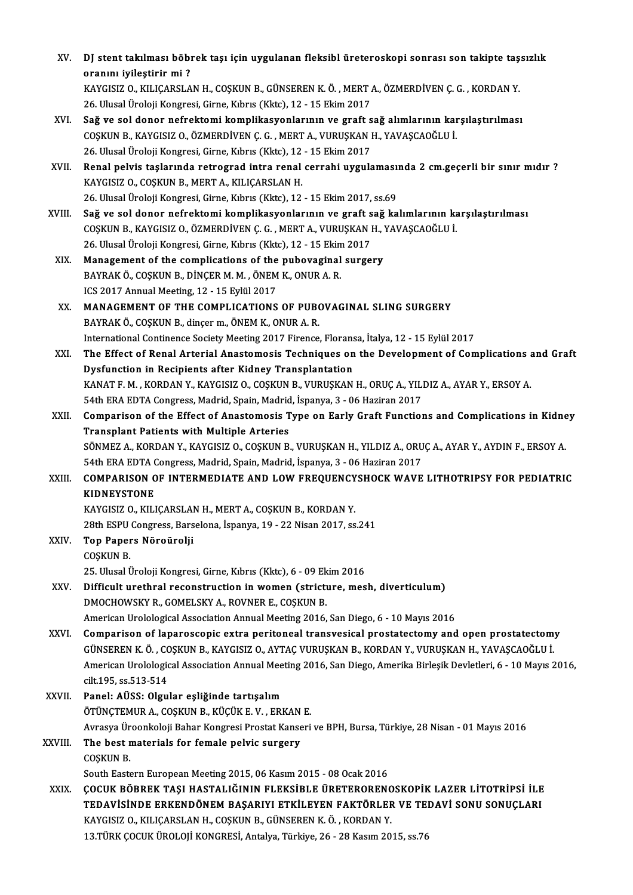| XV.     | DJ stent takılması böbrek taşı için uygulanan fleksibl üreteroskopi sonrası son takipte taşsızlık                                                                                                                      |
|---------|------------------------------------------------------------------------------------------------------------------------------------------------------------------------------------------------------------------------|
|         | oranını iyileştirir mi?                                                                                                                                                                                                |
|         | KAYGISIZ O., KILIÇARSLAN H., COŞKUN B., GÜNSEREN K. Ö., MERT A., ÖZMERDİVEN Ç. G., KORDAN Y.                                                                                                                           |
|         | 26. Ulusal Üroloji Kongresi, Girne, Kıbrıs (Kktc), 12 - 15 Ekim 2017                                                                                                                                                   |
| XVI.    | Sağ ve sol donor nefrektomi komplikasyonlarının ve graft sağ alımlarının karşılaştırılması                                                                                                                             |
|         | COŞKUN B., KAYGISIZ O., ÖZMERDİVEN Ç. G., MERT A., VURUŞKAN H., YAVAŞCAOĞLU İ.                                                                                                                                         |
|         | 26. Ulusal Üroloji Kongresi, Girne, Kıbrıs (Kktc), 12 - 15 Ekim 2017                                                                                                                                                   |
| XVII.   | Renal pelvis taşlarında retrograd intra renal cerrahi uygulamasında 2 cm.geçerli bir sınır mıdır ?                                                                                                                     |
|         | KAYGISIZ O., COŞKUN B., MERT A., KILIÇARSLAN H.                                                                                                                                                                        |
|         | 26. Ulusal Üroloji Kongresi, Girne, Kıbrıs (Kktc), 12 - 15 Ekim 2017, ss.69                                                                                                                                            |
| XVIII.  | Sağ ve sol donor nefrektomi komplikasyonlarının ve graft sağ kalımlarının karşılaştırılması                                                                                                                            |
|         | COŞKUN B., KAYGISIZ O., ÖZMERDİVEN Ç. G., MERT A., VURUŞKAN H., YAVAŞCAOĞLU İ.                                                                                                                                         |
|         | 26. Ulusal Üroloji Kongresi, Girne, Kıbrıs (Kktc), 12 - 15 Ekim 2017                                                                                                                                                   |
| XIX.    | Management of the complications of the pubovaginal surgery                                                                                                                                                             |
|         | BAYRAK Ö., COŞKUN B., DİNÇER M. M., ÖNEM K., ONUR A. R.                                                                                                                                                                |
|         | ICS 2017 Annual Meeting, 12 - 15 Eylül 2017                                                                                                                                                                            |
| XX.     | MANAGEMENT OF THE COMPLICATIONS OF PUBOVAGINAL SLING SURGERY                                                                                                                                                           |
|         | BAYRAK Ö., COŞKUN B., dinçer m., ÖNEM K., ONUR A. R.                                                                                                                                                                   |
| XXI.    | International Continence Society Meeting 2017 Firence, Floransa, Italya, 12 - 15 Eylül 2017<br>The Effect of Renal Arterial Anastomosis Techniques on the Development of Complications and Graft                       |
|         | Dysfunction in Recipients after Kidney Transplantation                                                                                                                                                                 |
|         | KANAT F. M., KORDAN Y., KAYGISIZ O., COŞKUN B., VURUŞKAN H., ORUÇ A., YILDIZ A., AYAR Y., ERSOY A.                                                                                                                     |
|         | 54th ERA EDTA Congress, Madrid, Spain, Madrid, İspanya, 3 - 06 Haziran 2017                                                                                                                                            |
| XXII.   | Comparison of the Effect of Anastomosis Type on Early Graft Functions and Complications in Kidney                                                                                                                      |
|         | <b>Transplant Patients with Multiple Arteries</b>                                                                                                                                                                      |
|         | SÖNMEZ A., KORDAN Y., KAYGISIZ O., COŞKUN B., VURUŞKAN H., YILDIZ A., ORUÇ A., AYAR Y., AYDIN F., ERSOY A.                                                                                                             |
|         | 54th ERA EDTA Congress, Madrid, Spain, Madrid, İspanya, 3 - 06 Haziran 2017                                                                                                                                            |
| XXIII.  | COMPARISON OF INTERMEDIATE AND LOW FREQUENCYSHOCK WAVE LITHOTRIPSY FOR PEDIATRIC                                                                                                                                       |
|         | <b>KIDNEYSTONE</b>                                                                                                                                                                                                     |
|         | KAYGISIZ O., KILIÇARSLAN H., MERT A., COŞKUN B., KORDAN Y.                                                                                                                                                             |
|         | 28th ESPU Congress, Barselona, İspanya, 19 - 22 Nisan 2017, ss 241                                                                                                                                                     |
| XXIV.   | Top Papers Nöroürolji                                                                                                                                                                                                  |
|         | COSKUN B.                                                                                                                                                                                                              |
|         | 25. Ulusal Üroloji Kongresi, Girne, Kıbrıs (Kktc), 6 - 09 Ekim 2016                                                                                                                                                    |
| XXV.    | Difficult urethral reconstruction in women (stricture, mesh, diverticulum)                                                                                                                                             |
|         | DMOCHOWSKY R., GOMELSKY A., ROVNER E., COSKUN B.                                                                                                                                                                       |
|         | American Urolological Association Annual Meeting 2016, San Diego, 6 - 10 Mayıs 2016                                                                                                                                    |
| XXVI.   | Comparison of laparoscopic extra peritoneal transvesical prostatectomy and open prostatectomy                                                                                                                          |
|         | GÜNSEREN K. Ö., COŞKUN B., KAYGISIZ O., AYTAÇ VURUŞKAN B., KORDAN Y., VURUŞKAN H., YAVAŞCAOĞLU İ.<br>American Urolological Association Annual Meeting 2016, San Diego, Amerika Birleşik Devletleri, 6 - 10 Mayıs 2016, |
|         | cilt 195, ss 513-514                                                                                                                                                                                                   |
| XXVII.  | Panel: AÜSS: Olgular eşliğinde tartışalım                                                                                                                                                                              |
|         | ÖTÜNÇTEMUR A., COŞKUN B., KÜÇÜK E. V., ERKAN E.                                                                                                                                                                        |
|         | Avrasya Üroonkoloji Bahar Kongresi Prostat Kanseri ve BPH, Bursa, Türkiye, 28 Nisan - 01 Mayıs 2016                                                                                                                    |
| XXVIII. | The best materials for female pelvic surgery                                                                                                                                                                           |
|         | COȘKUN B.                                                                                                                                                                                                              |
|         | South Eastern European Meeting 2015, 06 Kasım 2015 - 08 Ocak 2016                                                                                                                                                      |
| XXIX.   | ÇOCUK BÖBREK TAŞI HASTALIĞININ FLEKSİBLE ÜRETERORENOSKOPİK LAZER LİTOTRİPSİ İLE                                                                                                                                        |
|         | TEDAVISINDE ERKENDÖNEM BAŞARIYI ETKİLEYEN FAKTÖRLER VE TEDAVI SONU SONUÇLARI                                                                                                                                           |
|         | KAYGISIZ O., KILIÇARSLAN H., COŞKUN B., GÜNSEREN K. Ö., KORDAN Y.                                                                                                                                                      |
|         | 13. TÜRK ÇOCUK ÜROLOJİ KONGRESİ, Antalya, Türkiye, 26 - 28 Kasım 2015, ss.76                                                                                                                                           |
|         |                                                                                                                                                                                                                        |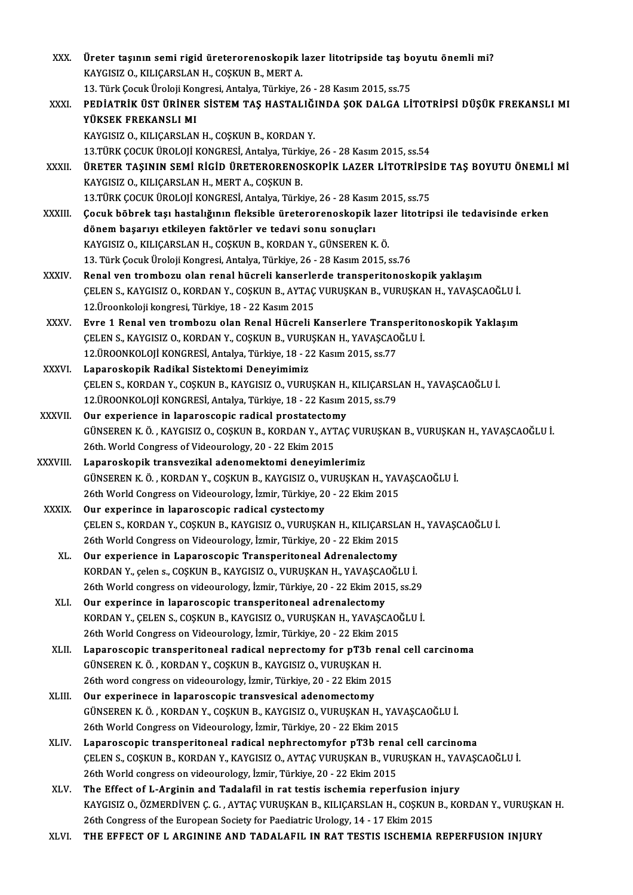XXX. Üreter taşının semi rigid üreterorenoskopik lazer litotripside taş boyutu önemli mi?<br>KAYÇISIZ Q KU IÇARSLAN H. COSKUN B. MERT A Üreter taşının semi rigid üreterorenoskopik l<br>KAYGISIZ O., KILIÇARSLAN H., COŞKUN B., MERT A.<br>12. Türk Cosuk Üreleji Konspesi, Antekya Türkiya 2 Üreter taşının semi rigid üreterorenoskopik lazer litotripside taş bo<br>KAYGISIZ O., KILIÇARSLAN H., COŞKUN B., MERT A.<br>13. Türk Çocuk Üroloji Kongresi, Antalya, Türkiye, 26 - 28 Kasım 2015, ss.75<br>PEDİATRİK ÜST ÜRİNER SİSTEM KAYGISIZ O., KILIÇARSLAN H., COŞKUN B., MERT A.<br>13. Türk Çocuk Üroloji Kongresi, Antalya, Türkiye, 26 - 28 Kasım 2015, ss.75<br>XXXI. PEDİATRİK ÜST ÜRİNER SİSTEM TAŞ HASTALIĞINDA ŞOK DALGA LİTOTRİPSİ DÜŞÜK FREKANSLI MI<br>YÜ 13. Türk Cocuk Üroloji Kongresi, Antalya, Türkiye, 26 - 28 Kasım 2015, ss.75 KAYGISIZ O., KILIÇARSLAN H., COŞKUN B., KORDAN Y. YÜKSEK FREKANSLI MI<br>KAYGISIZ O., KILIÇARSLAN H., COŞKUN B., KORDAN Y.<br>13.TÜRK ÇOCUK ÜROLOJİ KONGRESİ, Antalya, Türkiye, 26 - 28 Kasım 2015, ss.54<br>ÜRETER TASININ SEMİ RİÇİD ÜRETERORENOSKORİK I AZER I İTOTRİRSİ KAYGISIZ O., KILIÇARSLAN H., COŞKUN B., KORDAN Y.<br>13.TÜRK ÇOCUK ÜROLOJİ KONGRESİ, Antalya, Türkiye, 26 - 28 Kasım 2015, ss.54<br>XXXII. ÜRETER TAŞININ SEMİ RİGİD ÜRETERORENOSKOPİK LAZER LİTOTRİPSİDE TAŞ BOYUTU ÖNEMLİ Mİ 13.TÜRK ÇOCUK ÜROLOJİ KONGRESİ, Antalya, Türki<br>**ÜRETER TAŞININ SEMİ RİGİD ÜRETERORENO:**<br>KAYGISIZ O., KILIÇARSLAN H., MERT A., COŞKUN B.<br>12 TÜRK COÇUK ÜROLOU KONGRESİ, Antalya, Türki ÜRETER TAŞININ SEMİ RİGİD ÜRETERORENOSKOPİK LAZER LİTOTRİPSİ<br>KAYGISIZ O., KILIÇARSLAN H., MERT A., COŞKUN B.<br>13.TÜRK ÇOCUK ÜROLOJİ KONGRESİ, Antalya, Türkiye, 26 - 28 Kasım 2015, ss.75<br>Cosuk böbrek tesi baştalığının flaksi KAYGISIZ O., KILIÇARSLAN H., MERT A., COŞKUN B.<br>13.TÜRK ÇOCUK ÜROLOJİ KONGRESİ, Antalya, Türkiye, 26 - 28 Kasım 2015, ss.75<br>XXXIII. Çocuk böbrek taşı hastalığının fleksible üreterorenoskopik lazer litotripsi ile tedavi 13 TÜRK ÇOCUK ÜROLOJİ KONGRESİ, Antalya, Türkiye, 26 - 28 Kasım 2015, ss.75 KAYGISIZ O., KILIÇARSLAN H., COŞKUN B., KORDAN Y., GÜNSEREN K.Ö. 13.TürkÇocukÜrolojiKongresi,Antalya,Türkiye,26 -28Kasım2015, ss.76 KAYGISIZ O., KILIÇARSLAN H., COŞKUN B., KORDAN Y., GÜNSEREN K. Ö.<br>13. Türk Çocuk Üroloji Kongresi, Antalya, Türkiye, 26 - 28 Kasım 2015, ss.76<br>XXXIV. Renal ven trombozu olan renal hücreli kanserlerde transperitonoskopi 13. Türk Çocuk Üroloji Kongresi, Antalya, Türkiye, 26 - 28 Kasım 2015, ss.76<br>Renal ven trombozu olan renal hücreli kanserlerde transperitonoskopik yaklaşım<br>ÇELEN S., KAYGISIZ O., KORDAN Y., COŞKUN B., AYTAÇ VURUŞKAN B., VU Renal ven trombozu olan renal hücreli kanserle<br>ÇELEN S., KAYGISIZ O., KORDAN Y., COŞKUN B., AYTAÇ<br>12.Üroonkoloji kongresi, Türkiye, 18 - 22 Kasım 2015<br>Euro 1 Bonal ven trombozu olan Bonal Hüsreli k CELEN S., KAYGISIZ O., KORDAN Y., COŞKUN B., AYTAÇ VURUŞKAN B., VURUŞKAN H., YAVAŞCAOĞLU İ.<br>12.Üroonkoloji kongresi, Türkiye, 18 - 22 Kasım 2015<br>XXXV. Evre 1 Renal ven trombozu olan Renal Hücreli Kanserlere Transperito 12.Üroonkoloji kongresi, Türkiye, 18 - 22 Kasım 2015<br>Evre 1 Renal ven trombozu olan Renal Hücreli Kanserlere Transperitonoskopik Yaklaşım<br>ÇELEN S., KAYGISIZ O., KORDAN Y., COŞKUN B., VURUŞKAN H., YAVAŞCAOĞLU İ. 12.ÜROONKOLOJİKONGRESİ,Antalya,Türkiye,18 -22Kasım2015, ss.77 XXXVI. Laparoskopik Radikal Sistektomi Deneyimimiz ÇELENS.,KORDANY.,COŞKUNB.,KAYGISIZO.,VURUŞKANH.,KILIÇARSLANH.,YAVAŞCAOĞLUİ. 12.ÜROONKOLOJİKONGRESİ,Antalya,Türkiye,18 -22Kasım2015, ss.79 CELEN S., KORDAN Y., COSKUN B., KAYGISIZ O., VURUSKAN H.,<br>12.ÜROONKOLOJİ KONGRESİ, Antalya, Türkiye, 18 - 22 Kasım :<br>XXXVII. Our experience in laparoscopic radical prostatectomy GÜNSEREN K. Ö. , KAYGISIZ O., COŞKUN B., KORDAN Y., AYTAÇ VURUŞKAN B., VURUŞKAN H., YAVAŞCAOĞLU İ.<br>26th. World Congress of Videourology, 20 - 22 Ekim 2015 Our experience in laparoscopic radical prostatecton<br>GÜNSEREN K.Ö., KAYGISIZ O., COŞKUN B., KORDAN Y., AYT<br>26th. World Congress of Videourology, 20 - 22 Ekim 2015<br>Laparoskopik transvegikal adapamaktami danayimle XXXVIII. Laparoskopik transvezikal adenomektomi deneyimlerimiz GÜNSERENK.Ö. ,KORDANY.,COŞKUNB.,KAYGISIZO.,VURUŞKANH.,YAVAŞCAOĞLUİ. Laparoskopik transvezikal adenomektomi deneyimlerimiz<br>GÜNSEREN K. Ö. , KORDAN Y., COŞKUN B., KAYGISIZ O., VURUŞKAN H., YAV<br>26th World Congress on Videourology, İzmir, Türkiye, 20 - 22 Ekim 2015<br>Qur evnerinee in lanarossani GÜNSEREN K. Ö., KORDAN Y., COŞKUN B., KAYGISIZ O., V<br>26th World Congress on Videourology, İzmir, Türkiye, 20<br>XXXIX. Our experince in laparoscopic radical cystectomy<br>CELEN S. KORDAN Y. COSKUN B. KAYGISIZ O. VUBUSKA Our experince in laparoscopic radical cystectomy<br>CELEN S., KORDAN Y., COSKUN B., KAYGISIZ O., VURUSKAN H., KILIÇARSLAN H., YAVAŞCAOĞLU İ. Our experince in laparoscopic radical cystectomy<br>CELEN S., KORDAN Y., COSKUN B., KAYGISIZ O., VURUSKAN H., KILICARSLA<br>26th World Congress on Videourology, İzmir, Türkiye, 20 - 22 Ekim 2015<br>Our experience in Laparossopic Tr CELEN S., KORDAN Y., COSKUN B., KAYGISIZ O., VURUSKAN H., KILICARSL.<br>26th World Congress on Videourology, İzmir, Türkiye, 20 - 22 Ekim 2015<br>XL. Qur experience in Laparoscopic Transperitoneal Adrenalectomy<br>KORDAN Y. Selen 8 26th World Congress on Videourology, İzmir, Türkiye, 20 - 22 Ekim 2015<br>Our experience in Laparoscopic Transperitoneal Adrenalectomy<br>KORDAN Y., çelen s., COŞKUN B., KAYGISIZ O., VURUŞKAN H., YAVAŞCAOĞLU İ.<br>26th World sengre Our experience in Laparoscopic Transperitoneal Adrenalectomy<br>KORDAN Y., çelen s., COŞKUN B., KAYGISIZ O., VURUŞKAN H., YAVAŞCAOĞLU İ.<br>26th World congress on videourology, İzmir, Türkiye, 20 - 22 Ekim 2015, ss.29<br>Our experi KORDAN Y., çelen s., COŞKUN B., KAYGISIZ O., VURUŞKAN H., YAVAŞCAO<br>26th World congress on videourology, İzmir, Türkiye, 20 - 22 Ekim 201<br>XLI. Our experince in laparoscopic transperitoneal adrenalectomy<br>200 DAN Y. CELEN S. 26th World congress on videourology, İzmir, Türkiye, 20 - 22 Ekim 2015, ss.29<br>Our experince in laparoscopic transperitoneal adrenalectomy<br>KORDAN Y., ÇELEN S., COŞKUN B., KAYGISIZ O., VURUŞKAN H., YAVAŞCAOĞLU İ.<br>26th World Our experince in laparoscopic transperitoneal adrenalectomy<br>KORDAN Y., ÇELEN S., COŞKUN B., KAYGISIZ O., VURUŞKAN H., YAVAŞCAO<br>26th World Congress on Videourology, İzmir, Türkiye, 20 - 22 Ekim 2015<br>Laparossonis transperito KORDAN Y., ÇELEN S., COŞKUN B., KAYGISIZ O., VURUŞKAN H., YAVAŞCAOĞLU İ.<br>26th World Congress on Videourology, İzmir, Türkiye, 20 - 22 Ekim 2015<br>XLII. Laparoscopic transperitoneal radical neprectomy for pT3b renal cell carc 26th World Congress on Videourology, İzmir, Türkiye, 20 - 22 Ekim 2<br>Laparoscopic transperitoneal radical neprectomy for pT3b re<br>GÜNSEREN K.Ö., KORDAN Y., COŞKUN B., KAYGISIZ O., VURUŞKAN H.<br>26th word congress on videourolo Laparoscopic transperitoneal radical neprectomy for pT3b rena<br>GÜNSEREN K. Ö. , KORDAN Y., COŞKUN B., KAYGISIZ O., VURUŞKAN H.<br>26th word congress on videourology, İzmir, Türkiye, 20 - 22 Ekim 2015<br>Qur experinese in lapaross GÜNSEREN K. Ö., KORDAN Y., COŞKUN B., KAYGISIZ O., VURUŞKAN F.<br>26th word congress on videourology, İzmir, Türkiye, 20 - 22 Ekim 20<br>XLIII. **Our experinece in laparoscopic transvesical adenomectomy**<br>CÜNSEREN K. Ö., KORDAN Y. 26th word congress on videourology, İzmir, Türkiye, 20 - 22 Ekim 2015<br>Our experinece in laparoscopic transvesical adenomectomy<br>GÜNSEREN K.Ö., KORDAN Y., COŞKUN B., KAYGISIZ O., VURUŞKAN H., YAVAŞCAOĞLU İ.<br>26th World Congre Our experinece in laparoscopic transvesical adenomectomy<br>GÜNSEREN K. Ö. , KORDAN Y., COŞKUN B., KAYGISIZ O., VURUŞKAN H., YAV<br>26th World Congress on Videourology, İzmir, Türkiye, 20 - 22 Ekim 2015<br>Laparossonis transporiton GÜNSEREN K. Ö. , KORDAN Y., COŞKUN B., KAYGISIZ O., VURUŞKAN H., YAVAŞCAOĞLU İ.<br>26th World Congress on Videourology, İzmir, Türkiye, 20 - 22 Ekim 2015<br>XLIV. Laparoscopic transperitoneal radical nephrectomyfor pT3b renal ce 26th World Congress on Videourology, İzmir, Türkiye, 20 - 22 Ekim 2015<br>Laparoscopic transperitoneal radical nephrectomyfor pT3b renal cell carcinoma<br>ÇELEN S., COŞKUN B., KORDAN Y., KAYGISIZ O., AYTAÇ VURUŞKAN B., VURUŞKAN XLIV. Laparoscopic transperitoneal radical nephrectomyfor pT3b renal cell carcinoma<br>CELEN S., COSKUN B., KORDAN Y., KAYGISIZ O., AYTAC VURUSKAN B., VURUSKAN H., YAVAS<br>26th World congress on videourology, İzmir, Türkiye, 20 CELEN S., COSKUN B., KORDAN Y., KAYGISIZ O., AYTAC VURUSKAN B., VURUSKAN H., YAV<br>26th World congress on videourology, İzmir, Türkiye, 20 - 22 Ekim 2015<br>XLV. The Effect of L-Arginin and Tadalafil in rat testis ischemia repe 26th World congress on videourology, İzmir, Türkiye, 20 - 22 Ekim 2015<br>The Effect of L-Arginin and Tadalafil in rat testis ischemia reperfusion injury<br>KAYGISIZ O., ÖZMERDİVEN Ç. G. , AYTAÇ VURUŞKAN B., KILIÇARSLAN H., COŞK The Effect of L-Arginin and Tadalafil in rat testis ischemia reperfusion in<br>KAYGISIZ O., ÖZMERDİVEN Ç. G. , AYTAÇ VURUŞKAN B., KILIÇARSLAN H., COŞKUN<br>26th Congress of the European Society for Paediatric Urology, 14 - 17 Ek 26th Congress of the European Society for Paediatric Urology, 14 - 17 Ekim 2015<br>XLVI. THE EFFECT OF L ARGININE AND TADALAFIL IN RAT TESTIS ISCHEMIA REPERFUSION INJURY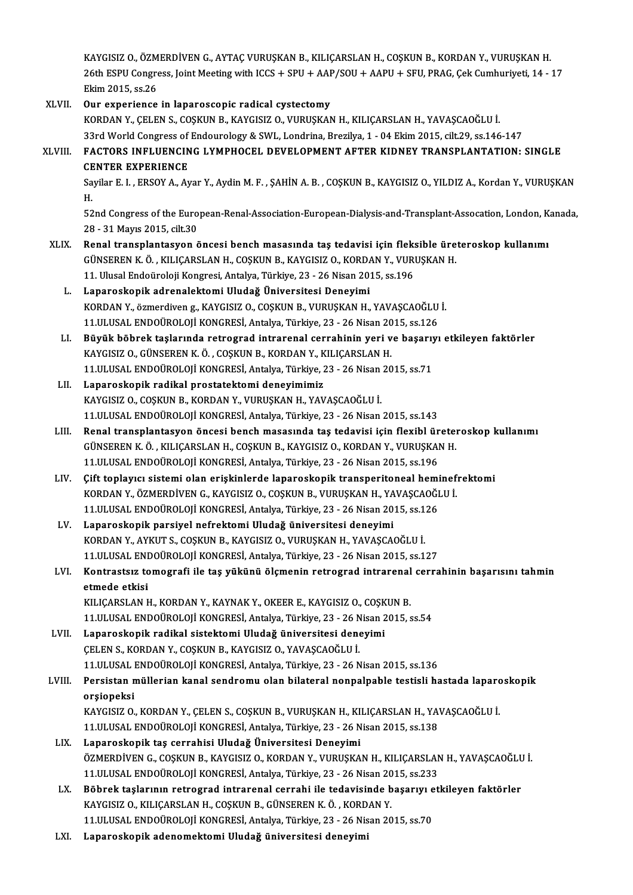KAYGISIZ O., ÖZMERDİVEN G., AYTAÇ VURUŞKAN B., KILIÇARSLAN H., COŞKUN B., KORDAN Y., VURUŞKAN H. KAYGISIZ O., ÖZMERDİVEN G., AYTAÇ VURUŞKAN B., KILIÇARSLAN H., COŞKUN B., KORDAN Y., VURUŞKAN H.<br>26th ESPU Congress, Joint Meeting with ICCS + SPU + AAP/SOU + AAPU + SFU, PRAG, Çek Cumhuriyeti, 14 - 17 KAYGISIZ O., ÖZM<br>26th ESPU Congre<br>Ekim 2015, ss.26<br>Our evregiones 26th ESPU Congress, Joint Meeting with ICCS + SPU + AAF<br>Ekim 2015, ss.26<br>XLVII. Our experience in laparoscopic radical cystectomy<br>EQPDAN V. CELEN S. COSEUN B. FAVCISIZ O. VUBUSEAN

- Ekim 2015, ss.26<br>Our experience in laparoscopic radical cystectomy<br>KORDAN Y., ÇELEN S., COŞKUN B., KAYGISIZ O., VURUŞKAN H., KILIÇARSLAN H., YAVAŞCAOĞLU İ. 33rdWorldCongress ofEndourology&SWL,Londrina,Brezilya,1 -04Ekim2015, cilt.29, ss.146-147 KORDAN Y., ÇELEN S., COŞKUN B., KAYGISIZ O., VURUŞKAN H., KILIÇARSLAN H., YAVAŞCAOĞLU İ.<br>33rd World Congress of Endourology & SWL, Londrina, Brezilya, 1 - 04 Ekim 2015, cilt.29, ss.146-147<br>XLVIII. FACTORS INFLUENCING L 33rd World Congress of<br>FACTORS INFLUENCIN<br>CENTER EXPERIENCE<br>Savilar E J - ERSOV A -AY FACTORS INFLUENCING LYMPHOCEL DEVELOPMENT AFTER KIDNEY TRANSPLANTATION: SINGLE<br>CENTER EXPERIENCE<br>Sayilar E. I. , ERSOY A., Ayar Y., Aydin M. F. , ŞAHİN A. B. , COŞKUN B., KAYGISIZ O., YILDIZ A., Kordan Y., VURUŞKAN<br>H CE<br>Sa<br>H Sayilar E. I. , ERSOY A., Ayar Y., Aydin M. F. , ŞAHİN A. B. , COŞKUN B., KAYGISIZ O., YILDIZ A., Kordan Y., VURUŞKAN<br>H.<br>52nd Congress of the European-Renal-Association-European-Dialysis-and-Transplant-Assocation, London, H.<br>52nd Congress of the European-Renal-Association-European-Dialysis-and-Transplant-Assocation, London, Kanada,<br>28 - 31 Mayıs 2015, cilt.30 XLIX. Renal transplantasyon öncesi bench masasında taş tedavisi için fleksible üreteroskop kullanımı 28 - 31 Mayıs 2015, cilt.30<br>Renal transplantasyon öncesi bench masasında taş tedavisi için fleksible üre<br>GÜNSEREN K. Ö. , KILIÇARSLAN H., COŞKUN B., KAYGISIZ O., KORDAN Y., VURUŞKAN H.<br>11 Hlusel Endoüreleji Kongresi Antaly Renal transplantasyon öncesi bench masasında taş tedavisi için flek:<br>GÜNSEREN K. Ö. , KILIÇARSLAN H., COŞKUN B., KAYGISIZ O., KORDAN Y., VURI<br>11. Ulusal Endoüroloji Kongresi, Antalya, Türkiye, 23 - 26 Nisan 2015, ss.196<br>La GÜNSEREN K. Ö. , KILIÇARSLAN H., COŞKUN B., KAYGISIZ O., KORDA<br>11. Ulusal Endoüroloji Kongresi, Antalya, Türkiye, 23 - 26 Nisan 20<br>1. Laparoskopik adrenalektomi Uludağ Üniversitesi Deneyimi<br>1. KORDAN V. Özmerdiyen g. KAYCI 11. Ulusal Endoüroloji Kongresi, Antalya, Türkiye, 23 - 26 Nisan 2015, ss.196<br>Laparoskopik adrenalektomi Uludağ Üniversitesi Deneyimi<br>KORDAN Y., özmerdiven g., KAYGISIZ O., COŞKUN B., VURUŞKAN H., YAVAŞCAOĞLU İ.<br>11 III USA Laparoskopik adrenalektomi Uludağ Üniversitesi Deneyimi<br>KORDAN Y., özmerdiven g., KAYGISIZ O., COŞKUN B., VURUŞKAN H., YAVAŞCAOĞLU<br>11.ULUSAL ENDOÜROLOJİ KONGRESİ, Antalya, Türkiye, 23 - 26 Nisan 2015, ss.126<br>Büyük höbrek t KORDAN Y., özmerdiven g., KAYGISIZ O., COŞKUN B., VURUŞKAN H., YAVAŞCAOĞLU İ.<br>11.ULUSAL ENDOÜROLOJİ KONGRESİ, Antalya, Türkiye, 23 - 26 Nisan 2015, ss.126<br>LI. Büyük böbrek taşlarında retrograd intrarenal cerrahinin yeri ve 11.ULUSAL ENDOÜROLOJİ KONGRESİ, Antalya, Türkiye, 23 - 26 Nisan 20<br>Büyük böbrek taşlarında retrograd intrarenal cerrahinin yeri v<br>KAYGISIZ O., GÜNSEREN K.Ö., COŞKUN B., KORDAN Y., KILIÇARSLAN H.<br>11 III USAL ENDOÜROLOU KONG Büyük böbrek taşlarında retrograd intrarenal cerrahinin yeri ve başarıy<br>KAYGISIZ 0., GÜNSEREN K. Ö. , COŞKUN B., KORDAN Y., KILIÇARSLAN H.<br>11.ULUSAL ENDOÜROLOJİ KONGRESİ, Antalya, Türkiye, 23 - 26 Nisan 2015, ss.71<br>Lanaros KAYGISIZ 0., GÜNSEREN K. Ö. , COŞKUN B., KORDAN Y., K<br>11.ULUSAL ENDOÜROLOJİ KONGRESİ, Antalya, Türkiye, 2<br>LII. Laparoskopik radikal prostatektomi deneyimimiz<br>KAYCISIZ O. COSKUN B. KORDAN V. VUBUSKAN H. YAV 11.ULUSAL ENDOÜROLOJİ KONGRESİ, Antalya, Türkiye, 23 - 26 Nisan 2015, ss.71<br>LII. Laparoskopik radikal prostatektomi deneyimimiz<br>KAYGISIZ O., COŞKUN B., KORDAN Y., VURUŞKAN H., YAVAŞCAOĞLU İ. 11.ULUSAL ENDOÜROLOJİKONGRESİ,Antalya,Türkiye,23 -26Nisan2015, ss.143 LIII. Renal transplantasyon öncesi bench masasında taş tedavisi için flexibl üreteroskop kullanımı 11.ULUSAL ENDOÜROLOJİ KONGRESİ, Antalya, Türkiye, 23 - 26 Nisan 2015, ss.143<br>Renal transplantasyon öncesi bench masasında taş tedavisi için flexibl üretel<br>GÜNSEREN K.Ö., KILIÇARSLAN H., COŞKUN B., KAYGISIZ O., KORDAN Y., V Renal transplantasyon öncesi bench masasında taş tedavisi için flexibl ür<br>GÜNSEREN K. Ö. , KILIÇARSLAN H., COŞKUN B., KAYGISIZ O., KORDAN Y., VURUŞKAI<br>11.ULUSAL ENDOÜROLOJİ KONGRESİ, Antalya, Türkiye, 23 - 26 Nisan 2015, s 11.ULUSAL ENDOÜROLOJİ KONGRESİ, Antalya, Türkiye, 23 - 26 Nisan 2015, ss.196<br>LIV. Cift toplayıcı sistemi olan erişkinlerde laparoskopik transperitoneal heminefrektomi 11.ULUSAL ENDOÜROLOJİ KONGRESİ, Antalya, Türkiye, 23 - 26 Nisan 2015, ss.196<br>Çift toplayıcı sistemi olan erişkinlerde laparoskopik transperitoneal heminef:<br>KORDAN Y., ÖZMERDİVEN G., KAYGISIZ O., COŞKUN B., VURUŞKAN H., YAV Çift toplayıcı sistemi olan erişkinlerde laparoskopik transperitoneal hemi<br>KORDAN Y., ÖZMERDİVEN G., KAYGISIZ O., COŞKUN B., VURUŞKAN H., YAVAŞCAOĞI<br>11.ULUSAL ENDOÜROLOJİ KONGRESİ, Antalya, Türkiye, 23 - 26 Nisan 2015, ss. KORDAN Y., ÖZMERDİVEN G., KAYGISIZ O., COŞKUN B., VURUŞKAN H., YA<br>11.ULUSAL ENDOÜROLOJİ KONGRESİ, Antalya, Türkiye, 23 - 26 Nisan 20<br>LV. Laparoskopik parsiyel nefrektomi Uludağ üniversitesi deneyimi<br>KOPDAN Y. AVKUTS, C 11.ULUSAL ENDOÜROLOJİ KONGRESİ, Antalya, Türkiye, 23 - 26 Nisan 2015, ss.126<br>Laparoskopik parsiyel nefrektomi Uludağ üniversitesi deneyimi<br>KORDAN Y., AYKUT S., COŞKUN B., KAYGISIZ O., VURUŞKAN H., YAVAŞCAOĞLU İ. 11.ULUSAL ENDOÜROLOJİKONGRESİ,Antalya,Türkiye,23 -26Nisan2015, ss.127 KORDAN Y., AYKUT S., COŞKUN B., KAYGISIZ O., VURUŞKAN H., YAVAŞCAOĞLU İ.<br>11.ULUSAL ENDOÜROLOJİ KONGRESİ, Antalya, Türkiye, 23 - 26 Nisan 2015, ss.127<br>LVI. Kontrastsız tomografi ile taş yükünü ölçmenin retrograd intrare 11.ULUSAL ENI<br>Kontrastsız to<br>etmede etkisi<br>KU ICARSI AN L Kontrastsız tomografi ile taş yükünü ölçmenin retrograd intrarenal<br>etmede etkisi<br>KILIÇARSLAN H., KORDAN Y., KAYNAK Y., OKEER E., KAYGISIZ O., COŞKUN B.<br>11 III USAL ENDOÜROLOU KONGRESİ Artakısı Türkiye 22, 26 Nisan 2015 6 etmede etkisi<br>KILIÇARSLAN H., KORDAN Y., KAYNAK Y., OKEER E., KAYGISIZ O., COŞKUN B.<br>11.ULUSAL ENDOÜROLOJİ KONGRESİ, Antalya, Türkiye, 23 - 26 Nisan 2015, ss.54<br>Lanaroskonik radikal sistektemi Uludağ üniversitesi denevimi KILIÇARSLAN H., KORDAN Y., KAYNAK Y., OKEER E., KAYGISIZ O., COŞKUN B.<br>11.ULUSAL ENDOÜROLOJİ KONGRESİ, Antalya, Türkiye, 23 - 26 Nisan 2015, :<br>LVII. Laparoskopik radikal sistektomi Uludağ üniversitesi deneyimi<br>CELEN S. 11.ULUSAL ENDOÜROLOJİ KONGRESİ, Antalya, Türkiye, 23 - 26 N<br>Laparoskopik radikal sistektomi Uludağ üniversitesi dene<br>ÇELEN S., KORDAN Y., COŞKUN B., KAYGISIZ O., YAVAŞCAOĞLU İ.<br>11 III USAL ENDOÜPOLOJİ KONGPESİ, Antalya Tür 11.ULUSAL ENDOÜROLOJİKONGRESİ,Antalya,Türkiye,23 -26Nisan2015, ss.136 CELEN S., KORDAN Y., COŞKUN B., KAYGISIZ O., YAVAŞCAOĞLU İ.<br>11.ULUSAL ENDOÜROLOJİ KONGRESİ, Antalya, Türkiye, 23 - 26 Nisan 2015, ss.136<br>25. Persistan müllerian kanal sendromu olan bilateral nonpalpable testisli hastada la 11.ULUSAL<br>Persistan n<br>orşiopeksi<br>KAVCISIZ O Persistan müllerian kanal sendromu olan bilateral nonpalpable testisli hastada laparc<br>orşiopeksi<br>KAYGISIZ O., KORDAN Y., ÇELEN S., COŞKUN B., VURUŞKAN H., KILIÇARSLAN H., YAVAŞCAOĞLU İ.<br>11 III USAL ENDOÜROLOU KONCRESİ Anta orşiopeksi<br>KAYGISIZ O., KORDAN Y., ÇELEN S., COŞKUN B., VURUŞKAN H., KILIÇARSLAN H., YA'<br>11.ULUSAL ENDOÜROLOJİ KONGRESİ, Antalya, Türkiye, 23 - 26 Nisan 2015, ss.138<br>Lapanaskanik taş sarrahisi Uludağ Üniyarsitesi Denevimi KAYGISIZ O., KORDAN Y., ÇELEN S., COŞKUN B., VURUŞKAN H., KI<br>11.ULUSAL ENDOÜROLOJİ KONGRESİ, Antalya, Türkiye, 23 - 26 N<br>LIX. Laparoskopik taş cerrahisi Uludağ Üniversitesi Deneyimi<br>ÖZMERDİVEN C. COSKUN B. KAYCISIZ O. 11.ULUSAL ENDOÜROLOJİ KONGRESİ, Antalya, Türkiye, 23 - 26 Nisan 2015, ss.138<br>Laparoskopik taş cerrahisi Uludağ Üniversitesi Deneyimi<br>ÖZMERDİVEN G., COŞKUN B., KAYGISIZ O., KORDAN Y., VURUŞKAN H., KILIÇARSLAN H., YAVAŞCAOĞL Laparoskopik taş cerrahisi Uludağ Üniversitesi Deneyimi<br>ÖZMERDİVEN G., COŞKUN B., KAYGISIZ O., KORDAN Y., VURUŞKAN H., KILIÇARSLAN<br>11.ULUSAL ENDOÜROLOJİ KONGRESİ, Antalya, Türkiye, 23 - 26 Nisan 2015, ss.233<br>Böhnek tesleru ÖZMERDİVEN G., COŞKUN B., KAYGISIZ O., KORDAN Y., VURUŞKAN H., KILIÇARSLAN H., YAVAŞCAOĞLU<br>11.ULUSAL ENDOÜROLOJİ KONGRESİ, Antalya, Türkiye, 23 - 26 Nisan 2015, ss.233<br>LX. Böbrek taşlarının retrograd intrarenal cerrahi ile 11.ULUSAL ENDOÜROLOJİ KONGRESİ, Antalya, Türkiye, 23 - 26 Nisan 20<br>Böbrek taşlarının retrograd intrarenal cerrahi ile tedavisinde b<br>KAYGISIZ O., KILIÇARSLAN H., COŞKUN B., GÜNSEREN K.Ö. , KORDAN Y.<br>11 III USAL ENDOÜROLOU K LX. Böbrek taşlarının retrograd intrarenal cerrahi ile tedavisinde başarıyı etkileyen faktörler<br>KAYGISIZ O., KILIÇARSLAN H., COŞKUN B., GÜNSEREN K. Ö. , KORDAN Y.<br>11.ULUSAL ENDOÜROLOJİ KONGRESİ, Antalya, Türkiye, 23 - 26 N
	- LXI. Laparoskopik adenomektomi Uludağ üniversitesi deneyimi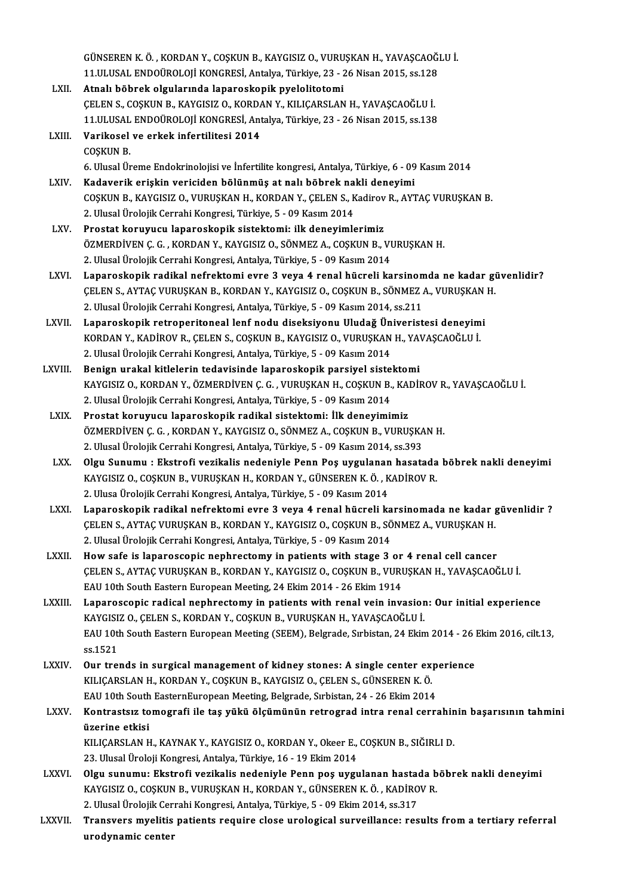GÜNSEREN K.Ö. , KORDAN Y., COŞKUN B., KAYGISIZ O., VURUŞKAN H., YAVAŞCAOĞLU İ.<br>11 H USAL ENDOÜROLOU KONCRESİ, Artakva Türkiye 22, 26 Nisar 2015, ss.129 GÜNSEREN K. Ö. , KORDAN Y., COŞKUN B., KAYGISIZ O., VURUŞKAN H., YAVAŞCAOĞI<br>11.ULUSAL ENDOÜROLOJİ KONGRESİ, Antalya, Türkiye, 23 - 26 Nisan 2015, ss.128<br>Atnalı böhrek alsıylarında lanaraslanılı nıvalalitetemi LXII. Atnalı böbrek olgularında laparoskopik pyelolitotomi<br>CELEN S., COSKUN B., KAYGISIZ O., KORDAN Y., KILIÇARSLAN H., YAVAŞCAOĞLU İ. 11.ULUSAL ENDOÜROLOJİ KONGRESİ, Antalya, Türkiye, 23 - 26 Nisan 2015, ss.128 Atnalı böbrek olgularında laparoskopik pyelolitotomi<br>ÇELEN S., COŞKUN B., KAYGISIZ O., KORDAN Y., KILIÇARSLAN H., YAVAŞCAOĞLU İ.<br>11.ULUSAL ENDOÜROLOJİ KONGRESİ, Antalya, Türkiye, 23 - 26 Nisan 2015, ss.138<br>Varikosal ve erk LXIII. Varikosel ve erkek infertilitesi 2014<br>COSKUN B. 11.ULUSAL<br>Varikosel<br>COŞKUN B. 6.UlusalÜremeEndokrinolojisive İnfertilite kongresi,Antalya,Türkiye,6 -09Kasım2014 COŞKUN B.<br>6. Ulusal Üreme Endokrinolojisi ve İnfertilite kongresi, Antalya, Türkiye, 6 - 09<br>2. LXIV. Kadaverik erişkin vericiden bölünmüş at nalı böbrek nakli deneyimi<br>2. COSKUN B. KAVÇISIZ O, VUBUSKAN H. KOBDAN V. CELEN S COŞKUN B., KAYGISIZ O., VURUŞKAN H., KORDAN Y., ÇELEN S., Kadirov R., AYTAÇ VURUŞKAN B.<br>2. Ulusal Ürolojik Cerrahi Kongresi, Türkiye, 5 - 09 Kasım 2014 Kadaverik erişkin vericiden bölünmüş at nalı böbrek na<br>COŞKUN B., KAYGISIZ O., VURUŞKAN H., KORDAN Y., ÇELEN S., K<br>2. Ulusal Ürolojik Cerrahi Kongresi, Türkiye, 5 - 09 Kasım 2014<br>Prestat konuyucu Japaneskenik sistektemi: i LXV. Prostat koruyucu laparoskopik sistektomi: ilk deneyimlerimiz ÖZMERDİVEN Ç.G., KORDAN Y., KAYGISIZ O., SÖNMEZ A., COŞKUN B., VURUŞKAN H. 2. Ulusal Ürolojik Cerrahi Kongresi, Antalya, Türkiye, 5 - 09 Kasım 2014 LXVI. Laparoskopik radikal nefrektomi evre 3 veya 4 renal hücreli karsinomda ne kadar güvenlidir? 2. Ulusal Ürolojik Cerrahi Kongresi, Antalya, Türkiye, 5 - 09 Kasım 2014<br>Laparoskopik radikal nefrektomi evre 3 veya 4 renal hücreli karsinomda ne kadar gi<br>ÇELEN S., AYTAÇ VURUŞKAN B., KORDAN Y., KAYGISIZ O., COŞKUN B., SÖ Laparoskopik radikal nefrektomi evre 3 veya 4 renal hücreli karsinom<br>ÇELEN S., AYTAÇ VURUŞKAN B., KORDAN Y., KAYGISIZ O., COŞKUN B., SÖNMEZ<br>2. Ulusal Ürolojik Cerrahi Kongresi, Antalya, Türkiye, 5 - 09 Kasım 2014, ss.211<br>L CELEN S., AYTAC VURUŞKAN B., KORDAN Y., KAYGISIZ O., COŞKUN B., SÖNMEZ A., VURUŞKAN<br>2. Ulusal Ürolojik Cerrahi Kongresi, Antalya, Türkiye, 5 - 09 Kasım 2014, ss.211<br>2. LXVII. Laparoskopik retroperitoneal lenf nodu diseksiy 2. Ulusal Ürolojik Cerrahi Kongresi, Antalya, Türkiye, 5 - 09 Kasım 2014, ss.211<br>Laparoskopik retroperitoneal lenf nodu diseksiyonu Uludağ Üniveristesi deneyimi<br>KORDAN Y., KADİROV R., ÇELEN S., COŞKUN B., KAYGISIZ O., VURU 2. Ulusal Ürolojik Cerrahi Kongresi, Antalya, Türkiye, 5 - 09 Kasım 2014 KORDAN Y., KADİROV R., ÇELEN S., COŞKUN B., KAYGISIZ O., VURUŞKAN H., YA'<br>2. Ulusal Ürolojik Cerrahi Kongresi, Antalya, Türkiye, 5 - 09 Kasım 2014<br>LXVIII. Benign urakal kitlelerin tedavisinde laparoskopik parsiyel sistekto KAYGISIZ O., KORDAN Y., ÖZMERDİVEN Ç. G. , VURUŞKAN H., COŞKUN B., KADİROV R., YAVAŞCAOĞLU İ.<br>2. Ulusal Ürolojik Cerrahi Kongresi, Antalya, Türkiye, 5 - 09 Kasım 2014 Benign urakal kitlelerin tedavisinde laparoskopik parsiyel siste<br>KAYGISIZ O., KORDAN Y., ÖZMERDİVEN Ç. G. , VURUŞKAN H., COŞKUN B.,<br>2. Ulusal Ürolojik Cerrahi Kongresi, Antalya, Türkiye, 5 - 09 Kasım 2014<br>Prestat koruyucu LXIX. Prostat koruyucu laparoskopik radikal sistektomi: İlk deneyimimiz ÖZMERDİVEN Ç.G., KORDAN Y., KAYGISIZ O., SÖNMEZ A., COŞKUN B., VURUŞKAN H. Prostat koruyucu laparoskopik radikal sistektomi: İlk deneyimimiz<br>ÖZMERDİVEN Ç. G. , KORDAN Y., KAYGISIZ O., SÖNMEZ A., COŞKUN B., VURUŞKA<br>2. Ulusal Ürolojik Cerrahi Kongresi, Antalya, Türkiye, 5 - 09 Kasım 2014, ss.393<br>Ol LXX. Olgu Sunumu : Ekstrofi vezikalis nedeniyle Penn Poş uygulanan hasatada böbrek nakli deneyimi 2. Ulusal Ürolojik Cerrahi Kongresi, Antalya, Türkiye, 5 - 09 Kasım 2014, ss.393<br>Olgu Sunumu : Ekstrofi vezikalis nedeniyle Penn Poş uygulanan hasatada<br>KAYGISIZ O., COŞKUN B., VURUŞKAN H., KORDAN Y., GÜNSEREN K.Ö., KADİROV 2. Ulusa Ürolojik Cerrahi Kongresi, Antalya, Türkiye, 5 - 09 Kasım 2014 KAYGISIZ O., COŞKUN B., VURUŞKAN H., KORDAN Y., GÜNSEREN K. Ö. , KADİROV R.<br>2. Ulusa Ürolojik Cerrahi Kongresi, Antalya, Türkiye, 5 - 09 Kasım 2014<br>2. LXXI. Laparoskopik radikal nefrektomi evre 3 veya 4 renal hücreli karsi 2. Ulusa Ürolojik Cerrahi Kongresi, Antalya, Türkiye, 5 - 09 Kasım 2014<br>Laparoskopik radikal nefrektomi evre 3 veya 4 renal hücreli karsinomada ne kadar g<br>ÇELEN S., AYTAÇ VURUŞKAN B., KORDAN Y., KAYGISIZ O., COŞKUN B., SÖN Laparoskopik radikal nefrektomi evre 3 veya 4 renal hücreli ka<br>ÇELEN S., AYTAÇ VURUŞKAN B., KORDAN Y., KAYGISIZ O., COŞKUN B., SÖ<br>2. Ulusal Ürolojik Cerrahi Kongresi, Antalya, Türkiye, 5 - 09 Kasım 2014<br>How safa is laparos CELEN S., AYTAC VURUŞKAN B., KORDAN Y., KAYGISIZ O., COŞKUN B., SÖNMEZ A., VURUŞKAN H.<br>2. Ulusal Ürolojik Cerrahi Kongresi, Antalya, Türkiye, 5 - 09 Kasım 2014<br>LXXII. How safe is laparoscopic nephrectomy in patients with s 2. Ulusal Ürolojik Cerrahi Kongresi, Antalya, Türkiye, 5 - 09 Kasım 2014<br>How safe is laparoscopic nephrectomy in patients with stage 3 or 4 renal cell cancer<br>ÇELEN S., AYTAÇ VURUŞKAN B., KORDAN Y., KAYGISIZ O., COŞKUN B., How safe is laparoscopic nephrectomy in patients with stage 3 or<br>CELEN S., AYTAC VURUŞKAN B., KORDAN Y., KAYGISIZ 0., COŞKUN B., VURI<br>EAU 10th South Eastern European Meeting, 24 Ekim 2014 - 26 Ekim 1914<br>Lapapeeeenis padise CELEN S., AYTAC VURUSKAN B., KORDAN Y., KAYGISIZ O., COSKUN B., VURUSKAN H., YAVASCAOĞLU İ.<br>EAU 10th South Eastern European Meeting, 24 Ekim 2014 - 26 Ekim 1914<br>LXXIII. Laparoscopic radical nephrectomy in patients with EAU 10th South Eastern European Meeting, 24 Ekim 2014 - 26 Ekim 1914 Laparoscopic radical nephrectomy in patients with renal vein invasion: Our initial experience<br>KAYGISIZ O., ÇELEN S., KORDAN Y., COŞKUN B., VURUŞKAN H., YAVAŞCAOĞLU İ.<br>EAU 10th South Eastern European Meeting (SEEM), Belgrad KAYGISI<br>EAU 10tl<br>ss.1521<br>Our tre EAU 10th South Eastern European Meeting (SEEM), Belgrade, Sırbistan, 24 Ekim 2014 - 26 |<br>ss.1521<br>LXXIV. Our trends in surgical management of kidney stones: A single center experience<br>EU ICARSLAN H. KORDAN V. COSKUN P. KAVC ss.1521<br>Our trends in surgical management of kidney stones: A single center experience<br>KILIÇARSLAN H., KORDAN Y., COŞKUN B., KAYGISIZ O., ÇELEN S., GÜNSEREN K. Ö. EAU 10th South EasternEuropean Meeting, Belgrade, Sırbistan, 24 - 26 Ekim 2014 KILIÇARSLAN H., KORDAN Y., COŞKUN B., KAYGISIZ O., ÇELEN S., GÜNSEREN K. Ö.<br>EAU 10th South EasternEuropean Meeting, Belgrade, Sırbistan, 24 - 26 Ekim 2014<br>LXXV. Kontrastsız tomografi ile taş yükü ölçümünün retrograd in EAU 10th South<br>Kontrastsız to<br>üzerine etkisi<br>KU ICARSLAN H Kontrastsız tomografi ile taş yükü ölçümünün retrograd intra renal cerrahin<br>üzerine etkisi<br>KILIÇARSLAN H., KAYNAK Y., KAYGISIZ O., KORDAN Y., Okeer E., COŞKUN B., SIĞIRLI D.<br>22 Hlucel Üreleji Kongresi Antelya Türkiye 16, 1 üzerine etkisi<br>KILIÇARSLAN H., KAYNAK Y., KAYGISIZ O., KORDAN Y., Okeer E., COŞKUN B., SIĞIRLI D.<br>23. Ulusal Üroloji Kongresi, Antalya, Türkiye, 16 - 19 Ekim 2014 KILIÇARSLAN H., KAYNAK Y., KAYGISIZ O., KORDAN Y., Okeer E., COŞKUN B., SIĞIRLI D.<br>23. Ulusal Üroloji Kongresi, Antalya, Türkiye, 16 - 19 Ekim 2014<br>23. Ulusal Üroloji Kongresi, Antalya, Türkiye, 16 - 19 Ekim 2014<br>28. VANİR 23. Ulusal Üroloji Kongresi, Antalya, Türkiye, 16 - 19 Ekim 2014<br>Olgu sunumu: Ekstrofi vezikalis nedeniyle Penn poş uygulanan hastada b<br>KAYGISIZ O., COŞKUN B., VURUŞKAN H., KORDAN Y., GÜNSEREN K.Ö. , KADİROV R.<br>2. Ulusal Ü Olgu sunumu: Ekstrofi vezikalis nedeniyle Penn poş uygulanan hasta<br>KAYGISIZ O., COŞKUN B., VURUŞKAN H., KORDAN Y., GÜNSEREN K. Ö. , KADİRO<br>2. Ulusal Ürolojik Cerrahi Kongresi, Antalya, Türkiye, 5 - 09 Ekim 2014, ss.317<br>Tra KAYGISIZ 0., COŞKUN B., VURUŞKAN H., KORDAN Y., GÜNSEREN K. Ö. , KADİROV R.<br>2. Ulusal Ürolojik Cerrahi Kongresi, Antalya, Türkiye, 5 - 09 Ekim 2014, ss.317<br>LXXVII. Transvers myelitis patients require close urological s 2. Ulusal Ürolojik Cer<br>Transvers myelitis<br>urodynamic center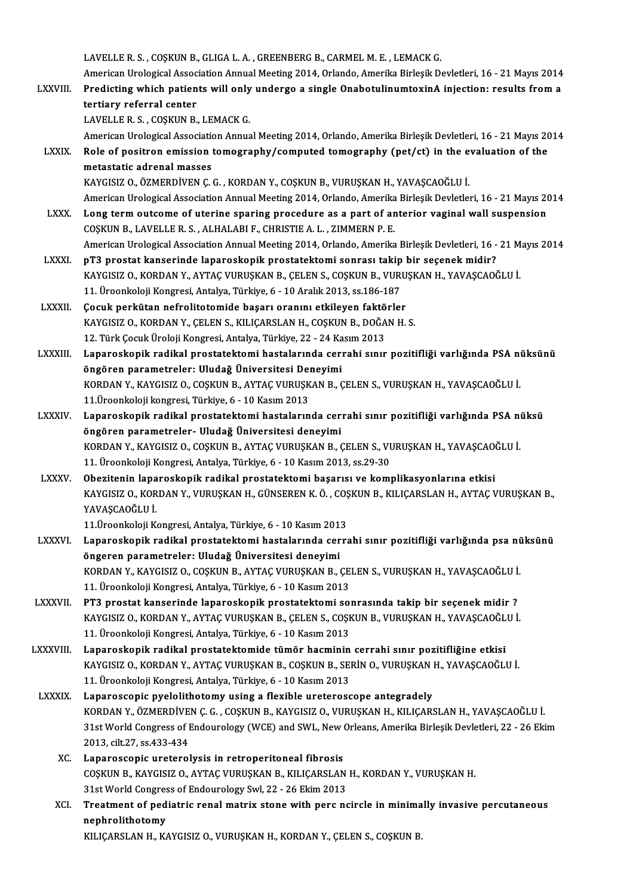LAVELLE R.S., COŞKUN B., GLIGA L.A., GREENBERG B., CARMEL M.E., LEMACK G.

LAVELLE R. S. , COȘKUN B., GLIGA L. A. , GREENBERG B., CARMEL M. E. , LEMACK G.<br>American Urological Association Annual Meeting 2014, Orlando, Amerika Birleşik Devletleri, 16 - 21 Mayıs 2014<br>Predisting urbish potients urill LAVELLE R. S. , COSKUN B., GLIGA L. A. , GREENBERG B., CARMEL M. E. , LEMACK G.<br>American Urological Association Annual Meeting 2014, Orlando, Amerika Birleşik Devletleri, 16 - 21 Mayıs 2014<br>LXXVIII. Predicting which patien American Urological Assoc<br>Predicting which patien<br>tertiary referral center<br>LAVELLE B.S. COSKUN B. Predicting which patients will only undergo a single OnabotulinumtoxinA injection: results from a tertiary referral center<br>LAVELLE R. S. , COŞKUN B., LEMACK G. tertiary referral center<br>LAVELLE R. S. , COŞKUN B., LEMACK G.<br>American Urological Association Annual Meeting 2014, Orlando, Amerika Birleşik Devletleri, 16 - 21 Mayıs 2014<br>Pele ef nesitren emission temesranhy (semnuted tem

- LAVELLE R. S. , COŞKUN B., LEMACK G.<br>American Urological Association Annual Meeting 2014, Orlando, Amerika Birleşik Devletleri, 16 21 Mayıs 20<br>LXXIX. Role of positron emission tomography/computed tomography (pet/ct) in t American Urological Association<br>Role of positron emission<br>metastatic adrenal masses<br>KAVCISIZ O ÖZMEPDİVEN C Role of positron emission tomography/computed tomography (pet/ct) in the e<br>metastatic adrenal masses<br>KAYGISIZ O., ÖZMERDİVEN Ç.G. , KORDAN Y., COŞKUN B., VURUŞKAN H., YAVAŞCAOĞLU İ.<br>American Uralagical Association Annual M metastatic adrenal masses<br>KAYGISIZ O., ÖZMERDİVEN Ç. G. , KORDAN Y., COŞKUN B., VURUŞKAN H., YAVAŞCAOĞLU İ.<br>American Urological Association Annual Meeting 2014, Orlando, Amerika Birleşik Devletleri, 16 - 21 Mayıs 2014<br>Lang
	-

- KAYGISIZ O., ÖZMERDİVEN Ç. G., KORDAN Y., COŞKUN B., VURUŞKAN H., YAVAŞCAOĞLU İ.<br>American Urological Association Annual Meeting 2014, Orlando, Amerika Birleşik Devletleri, 16 21 Mayıs 20<br>LXXX. Long term outcome of uterin American Urological Association Annual Meeting 2014, Orlando, Amerika<br>Long term outcome of uterine sparing procedure as a part of are COSKUN B., LAVELLER. S., ALHALABI F., CHRISTIE A. L., ZIMMERN P. E. Long term outcome of uterine sparing procedure as a part of anterior vaginal wall suspension<br>COSKUN B., LAVELLE R. S. , ALHALABI F., CHRISTIE A. L. , ZIMMERN P. E.<br>American Urological Association Annual Meeting 2014, Orlan COSKUN B., LAVELLE R. S. , ALHALABI F., CHRISTIE A. L. , ZIMMERN P. E.<br>American Urological Association Annual Meeting 2014, Orlando, Amerika Birleşik Devletleri, 16 -<br>LXXXI. pT3 prostat kanserinde laparoskopik prostatektom
- American Urological Association Annual Meeting 2014, Orlando, Amerika Birleşik Devletleri, 16 21 M<br>pT3 prostat kanserinde laparoskopik prostatektomi sonrası takip bir seçenek midir?<br>KAYGISIZ O., KORDAN Y., AYTAÇ VURUŞKAN pT3 prostat kanserinde laparoskopik prostatektomi sonrası takip<br>KAYGISIZ 0., KORDAN Y., AYTAÇ VURUŞKAN B., ÇELEN S., COŞKUN B., VURI<br>11. Üroonkoloji Kongresi, Antalya, Türkiye, 6 - 10 Aralık 2013, ss.186-187<br>Cosuk perkütan KAYGISIZ 0., KORDAN Y., AYTAÇ VURUŞKAN B., ÇELEN S., COŞKUN B., VURU<br>11. Üroonkoloji Kongresi, Antalya, Türkiye, 6 - 10 Aralık 2013, ss.186-187<br>LXXXII. Cocuk perkütan nefrolitotomide başarı oranını etkileyen faktörler<br>EANC
- 11. Üroonkoloji Kongresi, Antalya, Türkiye, 6 10 Aralık 2013, ss.186-187<br>Çocuk perkütan nefrolitotomide başarı oranını etkileyen faktörler<br>KAYGISIZ O., KORDAN Y., ÇELEN S., KILIÇARSLAN H., COŞKUN B., DOĞAN H. S.<br>12. Türk Cocuk perkütan nefrolitotomide başarı oranını etkileyen faktörler
- KAYGISIZ O., KORDAN Y., ÇELEN S., KILIÇARSLAN H., COŞKUN B., DOĞAN H. S.<br>12. Türk Çocuk Üroloji Kongresi, Antalya, Türkiye, 22 24 Kasım 2013<br>LXXXIII. Laparoskopik radikal prostatektomi hastalarında cerrahi sınır pozi 12. Türk Çocuk Üroloji Kongresi, Antalya, Türkiye, 22 - 24 Ka<br>Laparoskopik radikal prostatektomi hastalarında ceri<br>öngören parametreler: Uludağ Üniversitesi Deneyimi<br>KOPDAN V. KAVCISIZ O. COSKUN P. AYTAC VUPUSKAN P. 6 Laparoskopik radikal prostatektomi hastalarında cerrahi sınır pozitifliği varlığında PSA nü<br>öngören parametreler: Uludağ Üniversitesi Deneyimi<br>KORDAN Y., KAYGISIZ O., COŞKUN B., AYTAÇ VURUŞKAN B., ÇELEN S., VURUŞKAN H., YA öngören parametreler: Uludağ Üniversitesi Deneyimi<br>KORDAN Y., KAYGISIZ O., COŞKUN B., AYTAÇ VURUŞKAN B., ÇELEN S., VURUŞKAN H., YAVAŞCAOĞLU İ.<br>11.Üroonkoloji kongresi, Türkiye, 6 - 10 Kasım 2013 KORDAN Y., KAYGISIZ O., COŞKUN B., AYTAÇ VURUŞKAN B., ÇELEN S., VURUŞKAN H., YAVAŞCAOĞLU İ.<br>11.Üroonkoloji kongresi, Türkiye, 6 - 10 Kasım 2013<br>LXXXIV. Laparoskopik radikal prostatektomi hastalarında cerrahi sınır pozi
- 11.Üroonkoloji kongresi, Türkiye, 6 10 Kasım 2013<br>Laparoskopik radikal prostatektomi hastalarında cer<br>öngören parametreler- Uludağ Üniversitesi deneyimi<br>KOPDAN V. KAYCISIZ O. COSKUN P. AYTAC VUPUSKAN P. 6 Laparoskopik radikal prostatektomi hastalarında cerrahi sınır pozitifliği varlığında PSA nü<br>öngören parametreler- Uludağ Üniversitesi deneyimi<br>KORDAN Y., KAYGISIZ O., COŞKUN B., AYTAÇ VURUŞKAN B., ÇELEN S., VURUŞKAN H., YA öngören parametreler- Uludağ Üniversitesi deneyimi<br>KORDAN Y., KAYGISIZ O., COŞKUN B., AYTAÇ VURUŞKAN B., ÇELEN S., VI<br>11. Üroonkoloji Kongresi, Antalya, Türkiye, 6 - 10 Kasım 2013, ss.29-30<br>Oberitenin Japareskanik radikal KORDAN Y., KAYGISIZ O., COŞKUN B., AYTAÇ VURUŞKAN B., ÇELEN S., VURUŞKAN H., YAVAŞCAO<br>11. Üroonkoloji Kongresi, Antalya, Türkiye, 6 - 10 Kasım 2013, ss.29-30<br>LXXXV. Obezitenin laparoskopik radikal prostatektomi başarıs
- 11. Üroonkoloji Kongresi, Antalya, Türkiye, 6 10 Kasım 2013, ss.29-30<br>Obezitenin laparoskopik radikal prostatektomi başarısı ve komplikasyonlarına etkisi<br>KAYGISIZ O., KORDAN Y., VURUŞKAN H., GÜNSEREN K. Ö. , COŞKUN B., K Obezitenin lapa<br>KAYGISIZ O., KOR<br>YAVAŞCAOĞLU İ.<br>11 Üreenkeleji K KAYGISIZ O., KORDAN Y., VURUŞKAN H., GÜNSEREN K. Ö. , COŞ<br>YAVAŞCAOĞLU İ.<br>11.Üroonkoloji Kongresi, Antalya, Türkiye, 6 - 10 Kasım 2013<br>Lanançakanik radikal prostataktami bastalarında sarr

- YAVAŞCAOĞLU İ.<br>11.Üroonkoloji Kongresi, Antalya, Türkiye, 6 10 Kasım 2013<br>LXXXVI. Laparoskopik radikal prostatektomi hastalarında cerrahi sınır pozitifliği varlığında psa nüksünü<br>ÖRSSERAR RORAMATERLE Uludeğ Üniversit 11.Üroonkoloji Kongresi, Antalya, Türkiye, 6 - 10 Kasım 201<br>Laparoskopik radikal prostatektomi hastalarında cer<br>öngeren parametreler: Uludağ Üniversitesi deneyimi<br>KOPDAN V. KAVCISIZ O. COSKUN P. AYTAC VURUSKAN P. Laparoskopik radikal prostatektomi hastalarında cerrahi sınır pozitifliği varlığında psa nü<br>öngeren parametreler: Uludağ Üniversitesi deneyimi<br>KORDAN Y., KAYGISIZ O., COŞKUN B., AYTAÇ VURUŞKAN B., ÇELEN S., VURUŞKAN H., YA öngeren parametreler: Uludağ Üniversitesi deneyimi<br>KORDAN Y., KAYGISIZ O., COŞKUN B., AYTAÇ VURUŞKAN B., ÇELEN S., VURUŞKAN H., YAVAŞCAOĞLU İ.<br>11. Üroonkoloji Kongresi, Antalya, Türkiye, 6 - 10 Kasım 2013
- LXXXVII. PT3 prostat kanserinde laparoskopik prostatektomi sonrasında takip bir seçenek midir ? 11. Üroonkoloji Kongresi, Antalya, Türkiye, 6 - 10 Kasım 2013<br>PT3 prostat kanserinde laparoskopik prostatektomi sonrasında takip bir seçenek midir ?<br>KAYGISIZ O., KORDAN Y., AYTAÇ VURUŞKAN B., ÇELEN S., COŞKUN B., VURUŞKAN 11. Üroonkoloji Kongresi, Antalya, Türkiye, 6 - 10 Kasım 2013<br>Laparoskopik radikal prostatektomide tümör hacminin cerrahi sınır pozitifliğine etkisi KAYGISIZ O., KORDAN Y., AYTAÇ VURUŞKAN B., ÇELEN S., COŞKUN B., VURUŞKAN H., YAVAŞCAOĞL<br>11. Üroonkoloji Kongresi, Antalya, Türkiye, 6 - 10 Kasım 2013<br>LXXXVIII. Laparoskopik radikal prostatektomide tümör hacminin cerrah
- KAYGISIZO.,KORDANY.,AYTAÇVURUŞKANB.,COŞKUNB.,SERİNO.,VURUŞKANH.,YAVAŞCAOĞLUİ. 11. Üroonkoloji Kongresi, Antalya, Türkiye, 6 - 10 Kasım 2013
- LXXXIX. Laparoscopic pyelolithotomy using a flexible ureteroscope antegradely 11. Üroonkoloji Kongresi, Antalya, Türkiye, 6 - 10 Kasım 2013<br>Laparoscopic pyelolithotomy using a flexible ureteroscope antegradely<br>KORDAN Y., ÖZMERDİVEN Ç. G. , COŞKUN B., KAYGISIZ O., VURUŞKAN H., KILIÇARSLAN H., YAVAŞCA 31st World Congress of Endourology (WCE) and SWL, New Orleans, Amerika Birleşik Devletleri, 22 - 26 Ekim<br>2013. cilt.27. ss.433-434 KORDAN Y., ÖZMERDİVE<br>31st World Congress of I<br>2013, cilt.27, ss.433-434<br>Lananosconia unataral
	- XC. Laparoscopic ureterolysis in retroperitoneal fibrosis 2013, cilt.27, ss.433-434<br>Laparoscopic ureterolysis in retroperitoneal fibrosis<br>COŞKUN B., KAYGISIZ O., AYTAÇ VURUŞKAN B., KILIÇARSLAN H., KORDAN Y., VURUŞKAN H.<br>31st World Congress of Endourelogy Syd 32, 26 Ekim 2013 Laparoscopic ureterolysis in retroperitoneal fibrosis<br>COŞKUN B., KAYGISIZ O., AYTAÇ VURUŞKAN B., KILIÇARSLAN<br>31st World Congress of Endourology Swl, 22 - 26 Ekim 2013<br>Treatment of nediatrie renal metriy stone with nere ne 31st World Congress of Endourology Swl, 22 - 26 Ekim 2013
	- XCI. Treatment of pediatric renal matrix stone with perc ncircle in minimally invasive percutaneous<br>nephrolithotomy KILIÇARSLAN H., KAYGISIZ O., VURUŞKAN H., KORDAN Y., ÇELEN S., COŞKUN B.